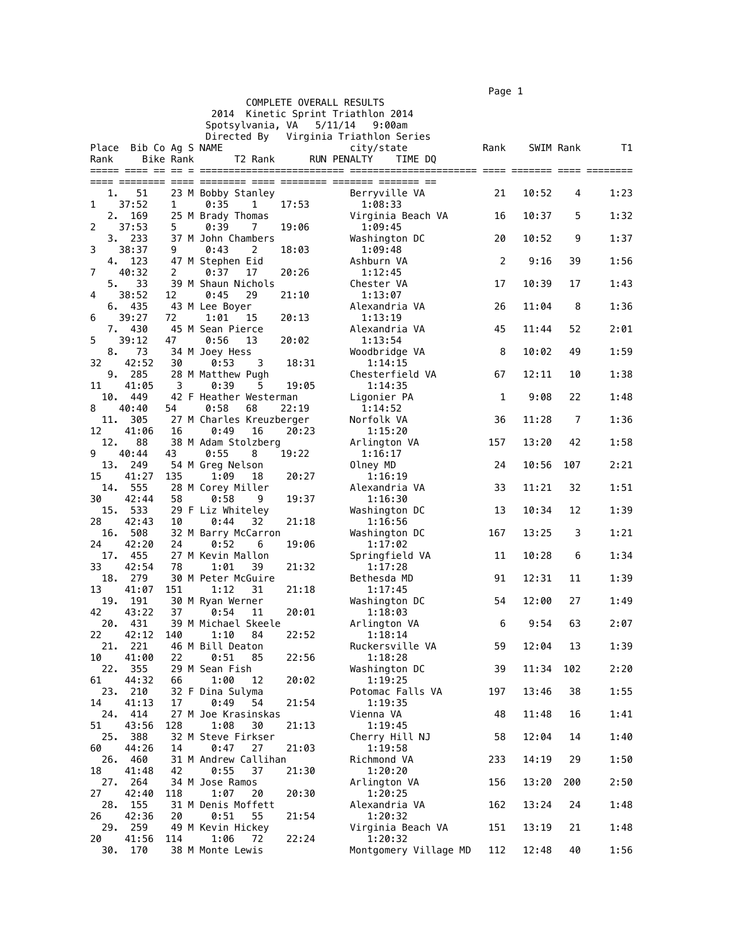$\blacksquare$  Page 1  $\blacksquare$ 

|           |                        |                  |                                     | COMPLETE OVERALL RESULTS | .                                     |      |           |     |      |
|-----------|------------------------|------------------|-------------------------------------|--------------------------|---------------------------------------|------|-----------|-----|------|
|           |                        |                  |                                     |                          | 2014 Kinetic Sprint Triathlon 2014    |      |           |     |      |
|           |                        |                  | Spotsylvania, VA                    |                          | 5/11/14<br>9:00am                     |      |           |     |      |
|           |                        |                  |                                     |                          | Directed By Virginia Triathlon Series |      |           |     |      |
|           | Place Bib Co Ag S NAME |                  |                                     |                          | city/state                            | Rank | SWIM Rank |     | T1   |
| Rank      |                        | <b>Bike Rank</b> | T2 Rank                             |                          | <b>RUN PENALTY</b><br>TIME DQ         |      |           |     |      |
|           |                        |                  |                                     |                          |                                       |      |           |     |      |
| 1.        | 51                     |                  | 23 M Bobby Stanley                  |                          | Berryville VA                         | 21   | 10:52     | 4   | 1:23 |
| 1         | 37:52                  | 1                | 0:35<br>1                           | 17:53                    | 1:08:33                               |      |           |     |      |
| 2.        | 169                    |                  | 25 M Brady Thomas                   |                          | Virginia Beach VA                     | 16   | 10:37     | 5   | 1:32 |
| 2         | 37:53                  | 5                | 0:39<br>7                           | 19:06                    | 1:09:45                               |      |           |     |      |
| 3         | 3.233<br>38:37         | 9                | 37 M John Chambers<br>0:43<br>2     | 18:03                    | Washington DC<br>1:09:48              | 20   | 10:52     | 9   | 1:37 |
|           | 4.<br>123              |                  | 47 M Stephen Eid                    |                          | Ashburn VA                            | 2    | 9:16      | 39  | 1:56 |
| 7         | 40:32                  | 2                | 0:37<br>17                          | 20:26                    | 1:12:45                               |      |           |     |      |
| 5.        | 33                     |                  | 39 M Shaun Nichols                  |                          | Chester VA                            | 17   | 10:39     | 17  | 1:43 |
| 4         | 38:52                  | 12               | 0:45<br>29                          | 21:10                    | 1:13:07                               |      |           |     |      |
|           | 435<br>6.<br>39:27     |                  | 43 M Lee Boyer                      |                          | Alexandria VA                         | 26   | 11:04     | 8   | 1:36 |
| 6         | 430<br>7.              | 72               | 1:01<br>15<br>45 M Sean Pierce      | 20:13                    | 1:13:19<br>Alexandria VA              | 45   | 11:44     | 52  | 2:01 |
| 5         | 39:12                  | 47               | 0:56<br>13                          | 20:02                    | 1:13:54                               |      |           |     |      |
| 8.        | 73                     |                  | 34 M Joey Hess                      |                          | Woodbridge VA                         | 8    | 10:02     | 49  | 1:59 |
| 32        | 42:52                  | 30               | 0:53<br>3                           | 18:31                    | 1:14:15                               |      |           |     |      |
|           | 9. 285                 |                  | 28 M Matthew Pugh                   |                          | Chesterfield VA                       | 67   | 12:11     | 10  | 1:38 |
| 11<br>10. | 41:05<br>449           | 3                | 0:39<br>5<br>42 F Heather Westerman | 19:05                    | 1:14:35<br>Ligonier PA                | 1    | 9:08      | 22  | 1:48 |
| 8         | 40:40                  | 54               | 0:58<br>68                          | 22:19                    | 1:14:52                               |      |           |     |      |
| 11.       | 305                    |                  | 27 M Charles Kreuzberger            |                          | Norfolk VA                            | 36   | 11:28     | 7   | 1:36 |
| 12        | 41:06                  | 16               | 0:49<br>16                          | 20:23                    | 1:15:20                               |      |           |     |      |
| 12.       | 88                     |                  | 38 M Adam Stolzberg                 |                          | Arlington VA                          | 157  | 13:20     | 42  | 1:58 |
| 9         | 40:44                  | 43               | 0:55<br>8                           | 19:22                    | 1:16:17                               |      |           |     |      |
| 13.<br>15 | 249<br>41:27           | 135              | 54 M Greg Nelson<br>1:09<br>18      | 20:27                    | Olney MD<br>1:16:19                   | 24   | 10:56     | 107 | 2:21 |
| 14.       | 555                    |                  | 28 M Corey Miller                   |                          | Alexandria VA                         | 33   | 11:21     | 32  | 1:51 |
| 30        | 42:44                  | 58               | 0:58<br>9                           | 19:37                    | 1:16:30                               |      |           |     |      |
| 15.       | 533                    |                  | 29 F Liz Whiteley                   |                          | Washington DC                         | 13   | 10:34     | 12  | 1:39 |
| 28        | 42:43                  | 10               | 0:44<br>32                          | 21:18                    | 1:16:56                               |      |           |     |      |
| 16.<br>24 | 508<br>42:20           | 24               | 32 M Barry McCarron<br>0:52<br>6    | 19:06                    | Washington DC<br>1:17:02              | 167  | 13:25     | 3   | 1:21 |
| 17.       | 455                    |                  | 27 M Kevin Mallon                   |                          | Springfield VA                        | 11   | 10:28     | 6   | 1:34 |
| 33        | 42:54                  | 78               | 1:01<br>39                          | 21:32                    | 1:17:28                               |      |           |     |      |
| 18.       | 279                    |                  | 30 M Peter McGuire                  |                          | Bethesda MD                           | 91   | 12:31     | 11  | 1:39 |
| 13        | 41:07                  | 151              | 1:12<br>31                          | 21:18                    | 1:17:45                               |      |           |     |      |
| 19.<br>42 | 191<br>43:22           | 37               | 30 M Ryan Werner                    |                          | Washington DC                         | 54   | 12:00     | 27  | 1:49 |
| 20.       | 431                    |                  | 0:54<br>11<br>39 M Michael Skeele   | 20:01                    | 1:18:03<br>Arlington VA               | 6    | 9:54      | 63  | 2:07 |
| 22        | 42:12                  | 140              | 1:10<br>84                          | 22:52                    | 1:18:14                               |      |           |     |      |
| 21.       | 221                    |                  | 46 M Bill Deaton                    |                          | Ruckersville VA                       | 59   | 12:04     | 13  | 1:39 |
| 10        | 41:00                  | 22               | 0:51<br>85                          | 22:56                    | 1:18:28                               |      |           |     |      |
| 22.       | 355                    |                  | 29 M Sean Fish                      |                          | Washington DC                         | 39   | 11:34     | 102 | 2:20 |
| 61<br>23. | 44:32<br>210           | 66               | 1:00<br>12<br>32 F Dina Sulyma      | 20:02                    | 1:19:25<br>Potomac Falls VA           | 197  | 13:46     | 38  | 1:55 |
| 14        | 41:13                  | 17               | 0:49<br>54                          | 21:54                    | 1:19:35                               |      |           |     |      |
| 24.       | 414                    |                  | 27 M Joe Krasinskas                 |                          | Vienna VA                             | 48   | 11:48     | 16  | 1:41 |
| 51        | 43:56                  | 128              | 1:08<br>30                          | 21:13                    | 1:19:45                               |      |           |     |      |
| 25.       | 388                    |                  | 32 M Steve Firkser                  |                          | Cherry Hill NJ                        | 58   | 12:04     | 14  | 1:40 |
| 60<br>26. | 44:26<br>460           | 14               | 0:47<br>27<br>31 M Andrew Callihan  | 21:03                    | 1:19:58<br>Richmond VA                | 233  | 14:19     | 29  | 1:50 |
| 18        | 41:48                  | 42               | 0:55<br>37                          | 21:30                    | 1:20:20                               |      |           |     |      |
| 27.       | 264                    |                  | 34 M Jose Ramos                     |                          | Arlington VA                          | 156  | 13:20     | 200 | 2:50 |
| 27        | 42:40                  | 118              | 1:07<br>20                          | 20:30                    | 1:20:25                               |      |           |     |      |
| 28.       | 155                    |                  | 31 M Denis Moffett                  |                          | Alexandria VA                         | 162  | 13:24     | 24  | 1:48 |
| 26<br>29. | 42:36<br>259           | 20               | 0:51<br>55<br>49 M Kevin Hickey     | 21:54                    | 1:20:32<br>Virginia Beach VA          | 151  | 13:19     | 21  | 1:48 |
| 20        | 41:56                  | 114              | 1:06<br>72                          | 22:24                    | 1:20:32                               |      |           |     |      |
| 30.       | 170                    |                  | 38 M Monte Lewis                    |                          | Montgomery Village MD                 | 112  | 12:48     | 40  | 1:56 |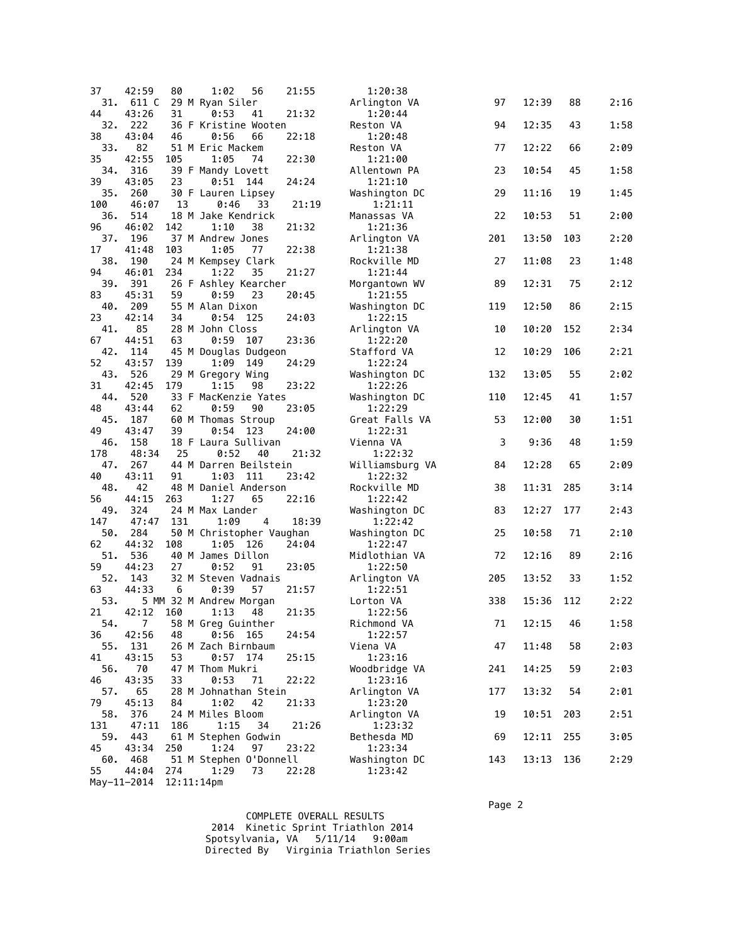| 37        | 42:59                   | 80            | 56<br>1:02                           | 21:55 | 1:20:38                  |     |          |     |      |
|-----------|-------------------------|---------------|--------------------------------------|-------|--------------------------|-----|----------|-----|------|
| 31.       | 611 C                   |               | 29 M Ryan Siler                      |       | Arlington VA             | 97  | 12:39    | 88  | 2:16 |
| 44        | 43:26                   | 31            | 0:53<br>41                           | 21:32 | 1:20:44                  |     |          |     |      |
| 32.<br>38 | 222<br>43:04            | 46            | 36 F Kristine Wooten<br>0:56<br>66   | 22:18 | Reston VA<br>1:20:48     | 94  | 12:35    | 43  | 1:58 |
| 33.       | 82                      |               | 51 M Eric Mackem                     |       | Reston VA                | 77  | 12:22    | 66  | 2:09 |
| 35        | 42:55                   | 105           | 1:05<br>74                           | 22:30 | 1:21:00                  |     |          |     |      |
| 34.       | 316                     |               | 39 F Mandy Lovett                    |       | Allentown PA             | 23  | 10:54    | 45  | 1:58 |
| 39<br>35. | 43:05<br>260            | 23            | 0:51<br>144<br>30 F Lauren Lipsey    | 24:24 | 1:21:10<br>Washington DC | 29  | 11:16    | 19  | 1:45 |
| 100       | 46:07                   | 13            | 0:46<br>33                           | 21:19 | 1:21:11                  |     |          |     |      |
| 36.       | 514                     |               | 18 M Jake Kendrick                   |       | Manassas VA              | 22  | 10:53    | 51  | 2:00 |
| 96        | 46:02                   | 142           | 1:10<br>38                           | 21:32 | 1:21:36                  |     |          |     |      |
| 37.<br>17 | 196<br>41:48            | 103           | 37 M Andrew Jones<br>1:05<br>77      | 22:38 | Arlington VA<br>1:21:38  | 201 | 13:50    | 103 | 2:20 |
| 38.       | 190                     |               | 24 M Kempsey Clark                   |       | Rockville MD             | 27  | 11:08    | 23  | 1:48 |
| 94        | 46:01                   | 234           | 1:22<br>35                           | 21:27 | 1:21:44                  |     |          |     |      |
| 39.       | 391                     |               | 26 F Ashley Kearcher                 |       | Morgantown WV            | 89  | 12:31    | 75  | 2:12 |
| 83        | 45:31                   | 59            | 0:59<br>23                           | 20:45 | 1:21:55                  |     |          |     |      |
| 40.<br>23 | 209<br>42:14            | 34            | 55 M Alan Dixon<br>$0:54$ 125        | 24:03 | Washington DC<br>1:22:15 | 119 | 12:50    | 86  | 2:15 |
| 41.       | 85                      |               | 28 M John Closs                      |       | Arlington VA             | 10  | 10:20    | 152 | 2:34 |
| 67        | 44:51                   | 63            | 0:59<br>107                          | 23:36 | 1:22:20                  |     |          |     |      |
| 42.       | 114                     |               | 45 M Douglas Dudgeon                 |       | Stafford VA              | 12  | 10:29    | 106 | 2:21 |
| 52        | 43:57                   | 139           | 1:09<br>149                          | 24:29 | 1:22:24                  |     |          |     |      |
| 43.<br>31 | 526<br>42:45            | 179           | 29 M Gregory Wing<br>1:15<br>98      | 23:22 | Washington DC<br>1:22:26 | 132 | 13:05    | 55  | 2:02 |
| 44.       | 520                     |               | 33 F MacKenzie Yates                 |       | Washington DC            | 110 | 12:45    | 41  | 1:57 |
| 48        | 43:44                   | 62            | 0:59<br>90                           | 23:05 | 1:22:29                  |     |          |     |      |
| 45.       | 187                     |               | 60 M Thomas Stroup                   |       | Great Falls VA           | 53  | 12:00    | 30  | 1:51 |
| 49<br>46. | 43:47<br>158            | 39            | $0:54$ 123<br>18 F Laura Sullivan    | 24:00 | 1:22:31<br>Vienna VA     | 3   | 9:36     | 48  | 1:59 |
| 178       | 48:34                   | 25            | 0:52<br>40                           | 21:32 | 1:22:32                  |     |          |     |      |
| 47.       | 267                     |               | 44 M Darren Beilstein                |       | Williamsburg VA          | 84  | 12:28    | 65  | 2:09 |
| 40        | 43:11                   | 91            | 1:03<br>111                          | 23:42 | 1:22:32                  |     |          |     |      |
| 48.       | 42                      |               | 48 M Daniel Anderson                 |       | Rockville MD             | 38  | 11:31    | 285 | 3:14 |
| 56<br>49. | 44:15<br>324            | 263           | 1:27<br>65<br>24 M Max Lander        | 22:16 | 1:22:42<br>Washington DC | 83  | 12:27    | 177 | 2:43 |
| 147       | 47:47                   | 131           | 1:09<br>4                            | 18:39 | 1:22:42                  |     |          |     |      |
| 50.       | 284                     |               | 50 M Christopher Vaughan             |       | Washington DC            | 25  | 10:58    | 71  | 2:10 |
| 62        | 44:32                   | 108           | 1:05 126                             | 24:04 | 1:22:47                  |     |          |     |      |
| 51.       | 536                     |               | 40 M James Dillon                    |       | Midlothian VA            | 72  | 12:16    | 89  | 2:16 |
| 59<br>52. | 44:23<br>143            | 27            | 0:52<br>91<br>32 M Steven Vadnais    | 23:05 | 1:22:50<br>Arlington VA  | 205 | 13:52    | 33  | 1:52 |
| 63        | 44:33                   | 6             | 0:39<br>57                           | 21:57 | 1:22:51                  |     |          |     |      |
| 53.       |                         |               | 5 MM 32 M Andrew Morgan              |       | Lorton VA                | 338 | 15:36    | 112 | 2:22 |
| 21        | 42:12                   | 160           | 1:13<br>48                           | 21:35 | 1:22:56                  |     |          |     |      |
| 54.<br>36 | $\overline{7}$<br>42:56 | 48            | 58 M Greg Guinther<br>0:56 165       | 24:54 | Richmond VA<br>1:22:57   | 71  | 12:15 46 |     | 1:58 |
| 55.       | 131                     |               | 26 M Zach Birnbaum                   |       | Viena VA                 | 47  | 11:48    | 58  | 2:03 |
| 41        | 43:15                   | 53            | $0:57$ 174                           | 25:15 | 1:23:16                  |     |          |     |      |
| 56.       | 70                      |               | 47 M Thom Mukri                      |       | Woodbridge VA            | 241 | 14:25    | 59  | 2:03 |
| 46        | 43:35                   | 33            | 0:53<br>71                           | 22:22 | 1:23:16                  |     |          |     |      |
| 57.<br>79 | 65<br>45:13             | 84            | 28 M Johnathan Stein<br>1:02<br>42   | 21:33 | Arlington VA<br>1:23:20  | 177 | 13:32    | 54  | 2:01 |
| 58.       | 376                     |               | 24 M Miles Bloom                     |       | Arlington VA             | 19  | 10:51    | 203 | 2:51 |
| 131       | 47:11                   | 186           | 1:15<br>34                           | 21:26 | 1:23:32                  |     |          |     |      |
| 59.       | 443                     |               | 61 M Stephen Godwin                  |       | Bethesda MD              | 69  | 12:11    | 255 | 3:05 |
| 45<br>60. | 43:34<br>468            | 250           | 1:24<br>97<br>51 M Stephen 0'Donnell | 23:22 | 1:23:34<br>Washington DC | 143 | 13:13    | 136 | 2:29 |
| 55        | 44:04                   | 274           | 1:29<br>73                           | 22:28 | 1:23:42                  |     |          |     |      |
|           | May-11-2014             | $12:11:14$ pm |                                      |       |                          |     |          |     |      |

 COMPLETE OVERALL RESULTS 2014 Kinetic Sprint Triathlon 2014 Spotsylvania, VA 5/11/14 9:00am Directed By Virginia Triathlon Series

Page 2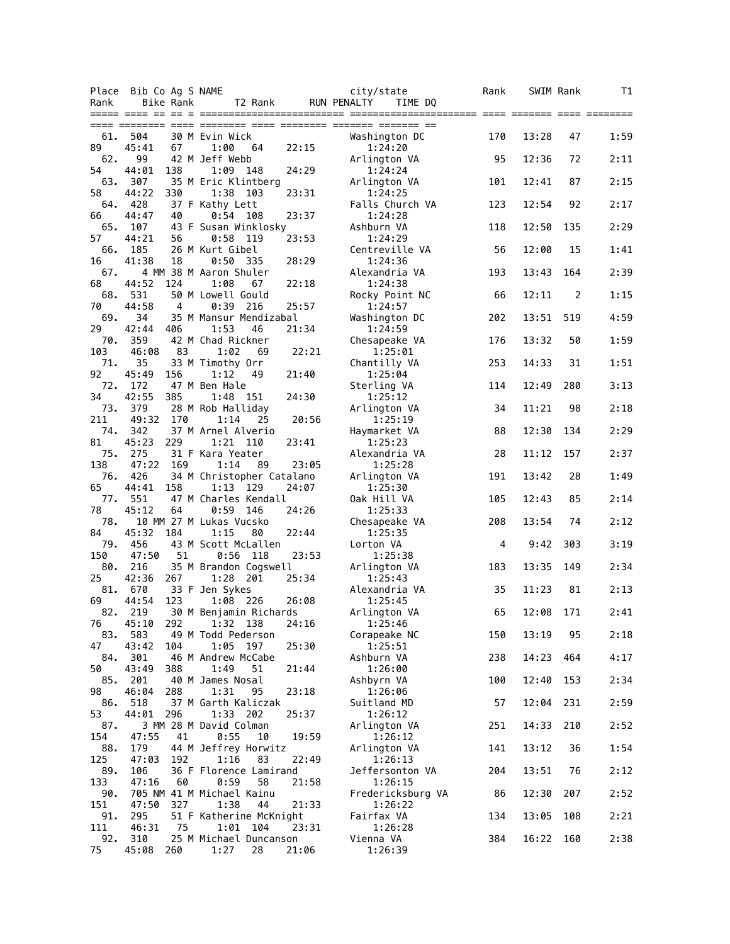|            | Place Bib Co Ag S NAME |                                         |       | city/state                   | Rank | SWIM Rank |     | T1   |
|------------|------------------------|-----------------------------------------|-------|------------------------------|------|-----------|-----|------|
| Rank       | Bike Rank              | T2 Rank                                 |       | RUN PENALTY<br>TIME DQ       |      |           |     |      |
|            |                        |                                         |       |                              |      |           |     |      |
| 61.        | 504                    | 30 M Evin Wick                          |       | Washington DC                | 170  | 13:28     | 47  | 1:59 |
| 89<br>62.  | 45:41<br>67<br>99      | 1:00<br>64<br>42 M Jeff Webb            | 22:15 | 1:24:20<br>Arlington VA      | 95   | 12:36     | 72  | 2:11 |
| 54<br>63.  | 44:01<br>138<br>307    | 1:09<br>148<br>35 M Eric Klintberg      | 24:29 | 1:24:24<br>Arlington VA      | 101  | 12:41     | 87  | 2:15 |
| 58         | 44:22<br>330           | 1:38<br>103                             | 23:31 | 1:24:25                      |      |           |     |      |
| 64.<br>66  | 428<br>44:47<br>40     | 37 F Kathy Lett<br>0:54 108             | 23:37 | Falls Church VA<br>1:24:28   | 123  | 12:54     | 92  | 2:17 |
| 65.<br>57  | 107<br>44:21<br>56     | 43 F Susan Winklosky<br>0:58<br>-119    | 23:53 | Ashburn VA<br>1:24:29        | 118  | 12:50     | 135 | 2:29 |
| 66.<br>16  | 185<br>41:38<br>18     | 26 M Kurt Gibel<br>0:50 335             | 28:29 | Centreville VA<br>1:24:36    | 56   | 12:00     | 15  | 1:41 |
| 67.        |                        | 4 MM 38 M Aaron Shuler                  |       | Alexandria VA                | 193  | 13:43     | 164 | 2:39 |
| 68<br>68.  | 44:52<br>124<br>531    | 1:08<br>67<br>50 M Lowell Gould         | 22:18 | 1:24:38<br>Rocky Point NC    | 66   | 12:11     | 2   | 1:15 |
| 70<br>69.  | 44:58<br>4<br>34       | 0:39<br>216<br>35 M Mansur Mendizabal   | 25:57 | 1:24:57<br>Washington DC     | 202  | 13:51     | 519 | 4:59 |
| 29         | 42:44<br>406           | 1:53<br>46                              | 21:34 | 1:24:59                      |      |           |     |      |
| 70.<br>103 | 359<br>46:08<br>83     | 42 M Chad Rickner<br>1:02<br>69         | 22:21 | Chesapeake VA<br>1:25:01     | 176  | 13:32     | 50  | 1:59 |
| 71.<br>92  | 35<br>45:49<br>156     | 33 M Timothy Orr<br>1:12<br>49          | 21:40 | Chantilly VA<br>1:25:04      | 253  | 14:33     | 31  | 1:51 |
| 72.<br>34  | 172<br>42:55<br>385    | 47 M Ben Hale<br>151<br>1:48            | 24:30 | Sterling VA<br>1:25:12       | 114  | 12:49     | 280 | 3:13 |
| 73.        | 379                    | 28 M Rob Halliday                       |       | Arlington VA                 | 34   | 11:21     | 98  | 2:18 |
| 211<br>74. | 49:32<br>170<br>342    | 1:14<br>25<br>37 M Arnel Alverio        | 20:56 | 1:25:19<br>Haymarket VA      | 88   | 12:30     | 134 | 2:29 |
| 81<br>75.  | 45:23<br>229<br>275    | 1:21 110<br>31 F Kara Yeater            | 23:41 | 1:25:23<br>Alexandria VA     | 28   | 11:12     | 157 | 2:37 |
| 138<br>76. | 47:22<br>169<br>426    | 1:14<br>89<br>34 M Christopher Catalano | 23:05 | 1:25:28<br>Arlington VA      | 191  | 13:42     | 28  | 1:49 |
| 65         | 44:41<br>158           | 1:13 129                                | 24:07 | 1:25:30                      |      |           |     |      |
| 77.<br>78  | 551<br>45:12<br>64     | 47 M Charles Kendall<br>0:59<br>146     | 24:26 | Oak Hill VA<br>1:25:33       | 105  | 12:43     | 85  | 2:14 |
| 78.<br>84  | 45:32<br>184           | 10 MM 27 M Lukas Vucsko<br>1:15<br>80   | 22:44 | Chesapeake VA<br>1:25:35     | 208  | 13:54     | 74  | 2:12 |
| 79.<br>150 | 456<br>47:50<br>51     | 43 M Scott McLallen<br>0:56<br>118      | 23:53 | Lorton VA<br>1:25:38         | 4    | 9:42      | 303 | 3:19 |
| 80.        | 216                    | 35 M Brandon Cogswell                   |       | Arlington VA                 | 183  | 13:35     | 149 | 2:34 |
| 25<br>81.  | 42:36<br>267<br>670    | 1:28<br>201<br>33 F Jen Sykes           | 25:34 | 1:25:43<br>Alexandria VA     | 35   | 11:23     | 81  | 2:13 |
| 69<br>82.  | 44:54<br>123<br>219    | 1:08 226<br>30 M Benjamin Richards      | 26:08 | 1:25:45<br>Arlington VA      | 65   | 12:08     | 171 | 2:41 |
| 76         | 45:10<br>292           | 1:32 138<br>49 M Todd Pederson          | 24:16 | 1:25:46                      | 150  |           | 95  |      |
| 83.<br>47  | 583<br>43:42<br>104    | 1:05<br>197                             | 25:30 | Corapeake NC<br>1:25:51      |      | 13:19     |     | 2:18 |
| 84.<br>50  | 301<br>43:49<br>388    | 46 M Andrew McCabe<br>1:49<br>51        | 21:44 | Ashburn VA<br>1:26:00        | 238  | 14:23     | 464 | 4:17 |
| 85.<br>98  | 201<br>46:04<br>288    | 40 M James Nosal<br>1:31<br>95          | 23:18 | Ashbyrn VA<br>1:26:06        | 100  | 12:40     | 153 | 2:34 |
| 86.        | 518                    | 37 M Garth Kaliczak<br>$1:33$ 202       |       | Suitland MD                  | 57   | 12:04     | 231 | 2:59 |
| 53<br>87.  | 44:01<br>296           | 3 MM 28 M David Colman                  | 25:37 | 1:26:12<br>Arlington VA      | 251  | 14:33     | 210 | 2:52 |
| 154<br>88. | 41<br>47:55<br>179     | 0:55<br>10<br>44 M Jeffrey Horwitz      | 19:59 | 1:26:12<br>Arlington VA      | 141  | 13:12     | 36  | 1:54 |
| 125<br>89. | 47:03<br>192<br>106    | 1:16<br>83<br>36 F Florence Lamirand    | 22:49 | 1:26:13<br>Jeffersonton VA   | 204  | 13:51     | 76  | 2:12 |
| 133<br>90. | 47:16<br>60            | 0:59<br>58<br>705 NM 41 M Michael Kainu | 21:58 | 1:26:15<br>Fredericksburg VA | 86   | 12:30     | 207 | 2:52 |
| 151        | 47:50<br>327           | 1:38<br>44                              | 21:33 | 1:26:22                      |      |           |     |      |
| 91.<br>111 | 295<br>46:31<br>75     | 51 F Katherine McKnight<br>1:01<br>104  | 23:31 | Fairfax VA<br>1:26:28        | 134  | 13:05     | 108 | 2:21 |
| 92.<br>75  | 310<br>45:08<br>260    | 25 M Michael Duncanson<br>1:27<br>28    | 21:06 | Vienna VA<br>1:26:39         | 384  | 16:22     | 160 | 2:38 |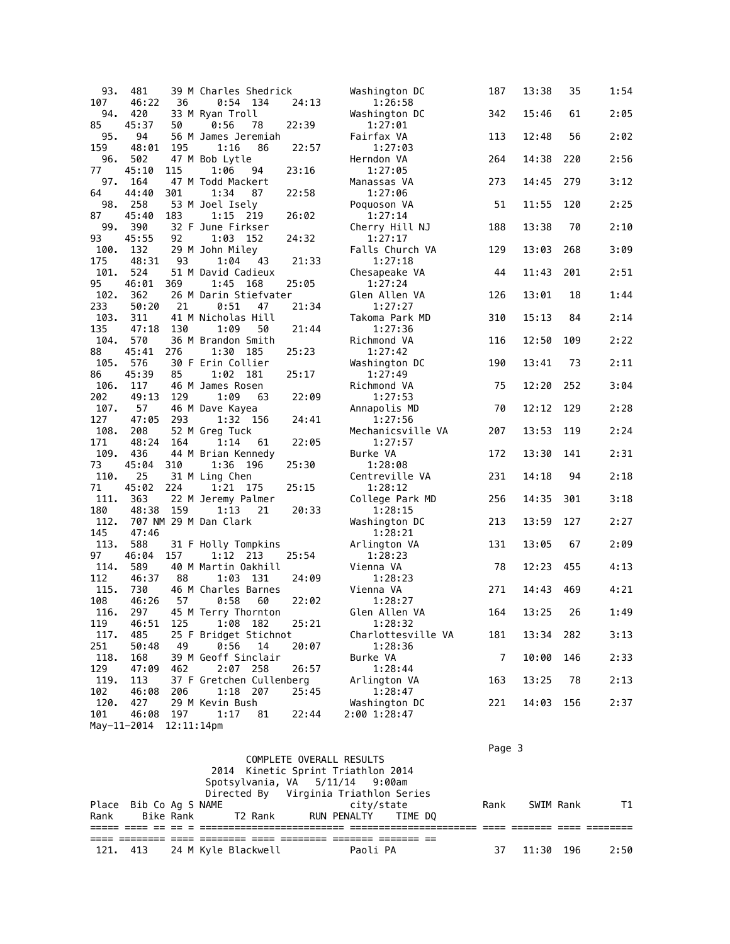| 93.        | 481         |               | 39 M Charles Shedrick      |       | Washington DC             | 187    | 13:38 | 35  | 1:54 |
|------------|-------------|---------------|----------------------------|-------|---------------------------|--------|-------|-----|------|
| 107        | 46:22       | 36            | $0:54$ 134                 | 24:13 | 1:26:58                   |        |       |     |      |
| 94.        | 420         |               | 33 M Ryan Troll            |       | Washington DC             | 342    | 15:46 | 61  | 2:05 |
| 85         | 45:37       | 50            | 0:56<br>78                 | 22:39 | 1:27:01                   |        |       |     |      |
| 95.        | 94          |               | 56 M James Jeremiah        |       | Fairfax VA                | 113    | 12:48 | 56  | 2:02 |
| 159        | 48:01       | 195           | 1:16<br>86                 | 22:57 | 1:27:03                   |        |       |     |      |
| 96.        | 502         |               | 47 M Bob Lytle             |       | Herndon VA                | 264    | 14:38 | 220 | 2:56 |
| 77         | 45:10       | 115           | 1:06<br>94                 | 23:16 | 1:27:05                   |        |       |     |      |
| 97.        | 164         |               | 47 M Todd Mackert          |       | Manassas VA               | 273    | 14:45 | 279 | 3:12 |
| 64         | 44:40       | 301           | 1:34<br>87                 | 22:58 | 1:27:06                   |        |       |     |      |
| 98.        | 258         |               | 53 M Joel Isely            |       | Poquoson VA               | 51     | 11:55 | 120 | 2:25 |
| 87         | 45:40       | 183           | 1:15 219                   | 26:02 | 1:27:14                   |        |       |     |      |
| 99.        | 390         |               | 32 F June Firkser          |       | Cherry Hill NJ            | 188    | 13:38 | 70  | 2:10 |
| 93         | 45:55       | 92            | 1:03<br>152                | 24:32 | 1:27:17                   |        |       |     |      |
| 100.       | 132         |               | 29 M John Miley            |       | Falls Church VA           | 129    | 13:03 | 268 | 3:09 |
| 175        | 48:31       | 93            | 1:04<br>43                 | 21:33 | 1:27:18                   |        |       |     |      |
| 101.       | 524         |               | 51 M David Cadieux         |       | Chesapeake VA             | 44     | 11:43 | 201 | 2:51 |
| 95         | 46:01       | 369           | 1:45<br>168                | 25:05 | 1:27:24                   |        |       |     |      |
| 102.       | 362         |               | 26 M Darin Stiefvater      |       | Glen Allen VA             | 126    | 13:01 | 18  | 1:44 |
| 233        | 50:20       | 21            | 0:51<br>47                 | 21:34 | 1:27:27                   |        |       |     |      |
| 103.       | 311         |               | 41 M Nicholas Hill         |       | Takoma Park MD            | 310    | 15:13 | 84  | 2:14 |
| 135        | 47:18       | 130           | 1:09<br>50                 | 21:44 | 1:27:36                   |        |       |     |      |
| 104.       | 570         |               | 36 M Brandon Smith         |       | Richmond VA               | 116    | 12:50 | 109 | 2:22 |
| 88         | 45:41       | 276           | 1:30 185                   | 25:23 | 1:27:42                   |        |       |     |      |
| 105.       | 576         |               | 30 F Erin Collier          |       | Washington DC             | 190    | 13:41 | 73  | 2:11 |
| 86         | 45:39       | 85            | 1:02 181                   | 25:17 | 1:27:49                   |        |       |     |      |
| 106.       | 117         |               | 46 M James Rosen           |       | Richmond VA               | 75     | 12:20 | 252 | 3:04 |
| 202        | 49:13       | 129           | 1:09<br>63                 | 22:09 | 1:27:53                   |        |       |     |      |
| 107.       | 57          |               | 46 M Dave Kayea            |       | Annapolis MD              | 70     | 12:12 | 129 | 2:28 |
| 127        | 47:05       | 293           | 1:32 156                   | 24:41 | 1:27:56                   |        |       |     |      |
| 108.       | 208         |               | 52 M Greg Tuck             |       | Mechanicsville VA         | 207    | 13:53 | 119 | 2:24 |
| 171        | 48:24       | 164           | 1:14<br>61                 | 22:05 | 1:27:57                   |        |       |     |      |
| 109.       | 436         |               | 44 M Brian Kennedy         |       | Burke VA                  | 172    | 13:30 | 141 | 2:31 |
| 73<br>110. | 45:04       | 310           | 1:36 196                   | 25:30 | 1:28:08                   |        | 14:18 | 94  | 2:18 |
| 71         | 25<br>45:02 | 224           | 31 M Ling Chen<br>1:21 175 | 25:15 | Centreville VA<br>1:28:12 | 231    |       |     |      |
| 111.       | 363         |               | 22 M Jeremy Palmer         |       | College Park MD           | 256    | 14:35 | 301 | 3:18 |
| 180        | 48:38       | 159           | 1:13<br>21                 | 20:33 | 1:28:15                   |        |       |     |      |
| 112.       |             |               | 707 NM 29 M Dan Clark      |       | Washington DC             | 213    | 13:59 | 127 | 2:27 |
| 145        | 47:46       |               |                            |       | 1:28:21                   |        |       |     |      |
| 113.       | 588         |               | 31 F Holly Tompkins        |       | Arlington VA              | 131    | 13:05 | 67  | 2:09 |
| 97         | 46:04       | 157           | 1:12 213                   | 25:54 | 1:28:23                   |        |       |     |      |
| 114.       | 589         |               | 40 M Martin Oakhill        |       | Vienna VA                 | 78     | 12:23 | 455 | 4:13 |
| 112        | 46:37       | 88            | 1:03<br>131                | 24:09 | 1:28:23                   |        |       |     |      |
| 115.       | 730         |               | 46 M Charles Barnes        |       | Vienna VA                 | 271    | 14:43 | 469 | 4:21 |
| 108        | 46:26       | 57            | 0:58<br>60                 | 22:02 | 1:28:27                   |        |       |     |      |
| 116.       | 297         |               | 45 M Terry Thornton        |       | Glen Allen VA             | 164    | 13:25 | 26  | 1:49 |
| 119        | 46:51       | 125           | 1:08 182                   | 25:21 | 1:28:32                   |        |       |     |      |
| 117.       | 485         |               | 25 F Bridget Stichnot      |       | Charlottesville VA        | 181    | 13:34 | 282 | 3:13 |
| 251        | 50:48       | 49            | 0:56<br>14                 | 20:07 | 1:28:36                   |        |       |     |      |
| 118.       | 168         |               | 39 M Geoff Sinclair        |       | Burke VA                  | 7      | 10:00 | 146 | 2:33 |
| 129        | 47:09       | 462           | 2:07<br>258                | 26:57 | 1:28:44                   |        |       |     |      |
| 119.       | 113         |               | 37 F Gretchen Cullenberg   |       | Arlington VA              | 163    | 13:25 | 78  | 2:13 |
| 102        | 46:08       | 206           | 1:18 207                   | 25:45 | 1:28:47                   |        |       |     |      |
| 120.       | 427         |               | 29 M Kevin Bush            |       | Washington DC             | 221    | 14:03 | 156 | 2:37 |
| 101        | 46:08       | 197           | 1:17<br>81                 | 22:44 | 2:00 1:28:47              |        |       |     |      |
|            | May-11-2014 | $12:11:14$ pm |                            |       |                           |        |       |     |      |
|            |             |               |                            |       |                           |        |       |     |      |
|            |             |               |                            |       |                           | Page 3 |       |     |      |

|          |                        |                                            | COMPLETE OVERALL RESULTS           |          |            |      |           |      |
|----------|------------------------|--------------------------------------------|------------------------------------|----------|------------|------|-----------|------|
|          |                        |                                            | 2014 Kinetic Sprint Triathlon 2014 |          |            |      |           |      |
|          |                        | Spotsylvania, VA 5/11/14 9:00am            |                                    |          |            |      |           |      |
|          |                        | Directed By Virginia Triathlon Series      |                                    |          |            |      |           |      |
|          | Place Bib Co Aq S NAME |                                            |                                    |          | citv/state | Rank | SWIM Rank | T1   |
|          |                        | Rank Bike Rank T2 Rank RUN PENALTY TIME DO |                                    |          |            |      |           |      |
|          |                        |                                            |                                    |          |            |      |           |      |
|          |                        |                                            |                                    |          |            |      |           |      |
| 121. 413 |                        | 24 M Kyle Blackwell                        |                                    | Paoli PA |            | 37   | 11:30 196 | 2:50 |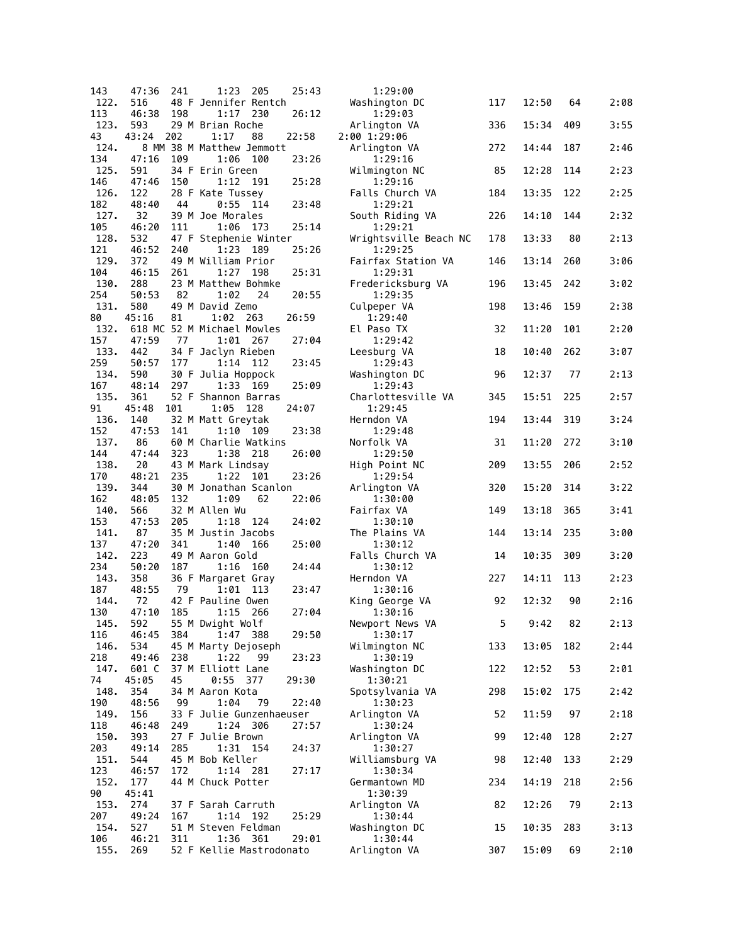| 143         | 47:36        | 241 | 1:23<br>205                              | 25:43 | 1:29:00                       |                |       |     |      |
|-------------|--------------|-----|------------------------------------------|-------|-------------------------------|----------------|-------|-----|------|
| 122.        | 516          |     | 48 F Jennifer Rentch                     |       | Washington DC                 | 117            | 12:50 | 64  | 2:08 |
| 113<br>123. | 46:38<br>593 | 198 | 1:17<br>230<br>29 M Brian Roche          | 26:12 | 1:29:03<br>Arlington VA       | 336            | 15:34 | 409 | 3:55 |
| 43          | 43:24        | 202 | 1:17<br>88                               | 22:58 | 2:00 1:29:06                  |                |       |     |      |
| 124.        |              |     | 8 MM 38 M Matthew Jemmott                |       | Arlington VA                  | 272            | 14:44 | 187 | 2:46 |
| 134         | 47:16        | 109 | 1:06<br>100                              | 23:26 | 1:29:16                       |                |       |     |      |
| 125.<br>146 | 591<br>47:46 | 150 | 34 F Erin Green<br>1:12<br>191           | 25:28 | Wilmington NC<br>1:29:16      | 85             | 12:28 | 114 | 2:23 |
| 126.        | 122          |     | 28 F Kate Tussey                         |       | Falls Church VA               | 184            | 13:35 | 122 | 2:25 |
| 182         | 48:40        | 44  | 0:55<br>- 114                            | 23:48 | 1:29:21                       |                |       |     |      |
| 127.<br>105 | 32<br>46:20  | 111 | 39 M Joe Morales<br>1:06<br>173          | 25:14 | South Riding VA<br>1:29:21    | 226            | 14:10 | 144 | 2:32 |
| 128.        | 532          |     | 47 F Stephenie Winter                    |       | Wrightsville Beach NC         | 178            | 13:33 | 80  | 2:13 |
| 121         | 46:52        | 240 | 1:23<br>189                              | 25:26 | 1:29:25                       |                |       |     |      |
| 129.<br>104 | 372<br>46:15 | 261 | 49 M William Prior<br>1:27<br>198        | 25:31 | Fairfax Station VA<br>1:29:31 | 146            | 13:14 | 260 | 3:06 |
| 130.        | 288          |     | 23 M Matthew Bohmke                      |       | Fredericksburg VA             | 196            | 13:45 | 242 | 3:02 |
| 254         | 50:53        | 82  | 1:02<br>24                               | 20:55 | 1:29:35                       |                |       |     |      |
| 131.        | 580          |     | 49 M David Zemo                          | 26:59 | Culpeper VA                   | 198            | 13:46 | 159 | 2:38 |
| 80<br>132.  | 45:16        | 81  | $1:02$ 263<br>618 MC 52 M Michael Mowles |       | 1:29:40<br>El Paso TX         | 32             | 11:20 | 101 | 2:20 |
| 157         | 47:59        | 77  | 1:01<br>- 267                            | 27:04 | 1:29:42                       |                |       |     |      |
| 133.        | 442          |     | 34 F Jaclyn Rieben                       |       | Leesburg VA                   | 18             | 10:40 | 262 | 3:07 |
| 259<br>134. | 50:57<br>590 | 177 | 1:14 112<br>30 F Julia Hoppock           | 23:45 | 1:29:43<br>Washington DC      | 96             | 12:37 | 77  | 2:13 |
| 167         | 48:14        | 297 | 1:33 169                                 | 25:09 | 1:29:43                       |                |       |     |      |
| 135.        | 361          |     | 52 F Shannon Barras                      |       | Charlottesville VA            | 345            | 15:51 | 225 | 2:57 |
| 91<br>136.  | 45:48<br>140 | 101 | 1:05<br>128<br>32 M Matt Greytak         | 24:07 | 1:29:45<br>Herndon VA         | 194            | 13:44 | 319 | 3:24 |
| 152         | 47:53        | 141 | 1:10<br>109                              | 23:38 | 1:29:48                       |                |       |     |      |
| 137.        | 86           |     | 60 M Charlie Watkins                     |       | Norfolk VA                    | 31             | 11:20 | 272 | 3:10 |
| 144<br>138. | 47:44<br>20  | 323 | 1:38<br>218<br>43 M Mark Lindsay         | 26:00 | 1:29:50<br>High Point NC      | 209            | 13:55 | 206 | 2:52 |
| 170         | 48:21        | 235 | 1:22<br>101                              | 23:26 | 1:29:54                       |                |       |     |      |
| 139.        | 344          |     | 30 M Jonathan Scanlon                    |       | Arlington VA                  | 320            | 15:20 | 314 | 3:22 |
| 162<br>140. | 48:05<br>566 | 132 | 1:09<br>62<br>32 M Allen Wu              | 22:06 | 1:30:00<br>Fairfax VA         | 149            | 13:18 | 365 | 3:41 |
| 153         | 47:53        | 205 | 1:18<br>124                              | 24:02 | 1:30:10                       |                |       |     |      |
| 141.        | 87           |     | 35 M Justin Jacobs                       |       | The Plains VA                 | 144            | 13:14 | 235 | 3:00 |
| 137<br>142. | 47:20<br>223 | 341 | 1:40<br>- 166<br>49 M Aaron Gold         | 25:00 | 1:30:12<br>Falls Church VA    | 14             | 10:35 | 309 | 3:20 |
| 234         | 50:20        | 187 | 1:16<br>160                              | 24:44 | 1:30:12                       |                |       |     |      |
| 143.        | 358          |     | 36 F Margaret Gray                       |       | Herndon VA                    | 227            | 14:11 | 113 | 2:23 |
| 187<br>144. | 48:55<br>72  | 79  | 1:01<br>113<br>42 F Pauline Owen         | 23:47 | 1:30:16<br>King George VA     | 92             | 12:32 | 90  | 2:16 |
| 130         | 47:10        | 185 | 266<br>1:15                              | 27:04 | 1:30:16                       |                |       |     |      |
| 145.        | 592          |     | 55 M Dwight Wolf                         |       | Newport News VA               | 5 <sub>1</sub> | 9:42  | 82  | 2:13 |
| 116<br>146. | 46:45<br>534 | 384 | 1:47 388<br>45 M Marty Dejoseph          | 29:50 | 1:30:17<br>Wilmington NC      | 133            | 13:05 | 182 | 2:44 |
| 218         | 49:46        | 238 | 1:22<br>99                               | 23:23 | 1:30:19                       |                |       |     |      |
| 147.        | 601 C        |     | 37 M Elliott Lane                        |       | Washington DC                 | 122            | 12:52 | 53  | 2:01 |
| 74<br>148.  | 45:05<br>354 | 45  | $0:55$ 377<br>34 M Aaron Kota            | 29:30 | 1:30:21<br>Spotsylvania VA    | 298            | 15:02 | 175 | 2:42 |
| 190         | 48:56        | 99  | 1:04<br>79                               | 22:40 | 1:30:23                       |                |       |     |      |
| 149.        | 156          |     | 33 F Julie Gunzenhaeuser                 |       | Arlington VA                  | 52             | 11:59 | 97  | 2:18 |
| 118<br>150. | 46:48<br>393 | 249 | 1:24 306<br>27 F Julie Brown             | 27:57 | 1:30:24<br>Arlington VA       | 99             | 12:40 | 128 | 2:27 |
| 203         | 49:14        | 285 | 1:31 154                                 | 24:37 | 1:30:27                       |                |       |     |      |
| 151.        | 544          |     | 45 M Bob Keller                          |       | Williamsburg VA               | 98             | 12:40 | 133 | 2:29 |
| 123<br>152. | 46:57<br>177 | 172 | 1:14 281<br>44 M Chuck Potter            | 27:17 | 1:30:34<br>Germantown MD      | 234            | 14:19 | 218 | 2:56 |
| 90          | 45:41        |     |                                          |       | 1:30:39                       |                |       |     |      |
| 153.        | 274          |     | 37 F Sarah Carruth                       |       | Arlington VA                  | 82             | 12:26 | 79  | 2:13 |
| 207<br>154. | 49:24<br>527 | 167 | 1:14 192<br>51 M Steven Feldman          | 25:29 | 1:30:44<br>Washington DC      | 15             | 10:35 | 283 | 3:13 |
| 106         | 46:21        | 311 | 1:36 361                                 | 29:01 | 1:30:44                       |                |       |     |      |
| 155.        | 269          |     | 52 F Kellie Mastrodonato                 |       | Arlington VA                  | 307            | 15:09 | 69  | 2:10 |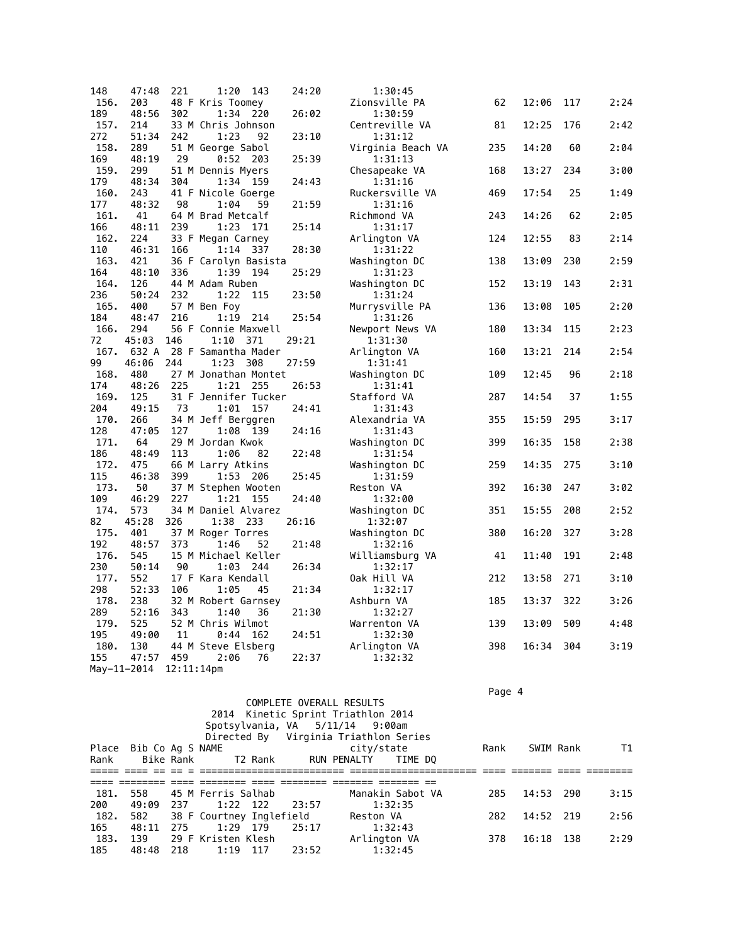| 148  | 47:48       | 221           | 1:20<br>143               | 24:20 | 1:30:45           |     |       |     |      |
|------|-------------|---------------|---------------------------|-------|-------------------|-----|-------|-----|------|
| 156. | 203         |               | 48 F Kris Toomey          |       | Zionsville PA     | 62  | 12:06 | 117 | 2:24 |
| 189  | 48:56       | 302           | 1:34<br>220               | 26:02 | 1:30:59           |     |       |     |      |
| 157. | 214         |               | 33 M Chris Johnson        |       | Centreville VA    | 81  | 12:25 | 176 | 2:42 |
| 272  | 51:34       | 242           | 1:23<br>92                | 23:10 | 1:31:12           |     |       |     |      |
| 158. | 289         |               | 51 M George Sabol         |       | Virginia Beach VA | 235 | 14:20 | 60  | 2:04 |
| 169  | 48:19       | 29            | $0:52$ 203                | 25:39 | 1:31:13           |     |       |     |      |
| 159. | 299         |               | 51 M Dennis Myers         |       | Chesapeake VA     | 168 | 13:27 | 234 | 3:00 |
| 179  | 48:34       | 304           | 1:34 159                  | 24:43 | 1:31:16           |     |       |     |      |
| 160. | 243         |               | 41 F Nicole Goerge        |       | Ruckersville VA   | 469 | 17:54 | 25  | 1:49 |
| 177  | 48:32       | 98            | 1:04<br>59                | 21:59 | 1:31:16           |     |       |     |      |
| 161. | 41          |               | 64 M Brad Metcalf         |       | Richmond VA       | 243 | 14:26 | 62  | 2:05 |
| 166  | 48:11       | 239           | 1:23<br>171               | 25:14 | 1:31:17           |     |       |     |      |
| 162. | 224         |               | 33 F Megan Carney         |       | Arlington VA      | 124 | 12:55 | 83  | 2:14 |
| 110  | 46:31       | 166           | 1:14 337                  | 28:30 | 1:31:22           |     |       |     |      |
| 163. | 421         |               | 36 F Carolyn Basista      |       | Washington DC     | 138 | 13:09 | 230 | 2:59 |
| 164  | 48:10       | 336           | 1:39<br>194               | 25:29 | 1:31:23           |     |       |     |      |
| 164. | 126         |               | 44 M Adam Ruben           |       | Washington DC     | 152 | 13:19 | 143 | 2:31 |
| 236  | 50:24       | 232           | 1:22<br>115               | 23:50 | 1:31:24           |     |       |     |      |
| 165. | 400         |               | 57 M Ben Foy              |       | Murrysville PA    | 136 | 13:08 | 105 | 2:20 |
| 184  | 48:47       | 216           | 1:19<br>214               | 25:54 | 1:31:26           |     |       |     |      |
| 166. | 294         |               | 56 F Connie Maxwell       |       | Newport News VA   | 180 | 13:34 | 115 | 2:23 |
| 72   | 45:03       | 146           | 1:10 371                  | 29:21 | 1:31:30           |     |       |     |      |
| 167. |             |               | 632 A 28 F Samantha Mader |       |                   |     | 13:21 | 214 | 2:54 |
|      |             |               |                           |       | Arlington VA      | 160 |       |     |      |
| 99   | 46:06       | 244           | 1:23<br>308               | 27:59 | 1:31:41           |     |       |     |      |
| 168. | 480         |               | 27 M Jonathan Montet      |       | Washington DC     | 109 | 12:45 | 96  | 2:18 |
| 174  | 48:26       | 225           | 1:21 255                  | 26:53 | 1:31:41           |     |       |     |      |
| 169. | 125         |               | 31 F Jennifer Tucker      |       | Stafford VA       | 287 | 14:54 | 37  | 1:55 |
| 204  | 49:15       | 73            | 1:01<br>157               | 24:41 | 1:31:43           |     |       |     |      |
| 170. | 266         |               | 34 M Jeff Berggren        |       | Alexandria VA     | 355 | 15:59 | 295 | 3:17 |
| 128  | 47:05       | 127           | 1:08 139                  | 24:16 | 1:31:43           |     |       |     |      |
| 171. | 64          |               | 29 M Jordan Kwok          |       | Washington DC     | 399 | 16:35 | 158 | 2:38 |
| 186  | 48:49       | 113           | 1:06<br>82                | 22:48 | 1:31:54           |     |       |     |      |
| 172. | 475         |               | 66 M Larry Atkins         |       | Washington DC     | 259 | 14:35 | 275 | 3:10 |
| 115  | 46:38       | 399           | 1:53<br>- 206             | 25:45 | 1:31:59           |     |       |     |      |
| 173. | 50          |               | 37 M Stephen Wooten       |       | Reston VA         | 392 | 16:30 | 247 | 3:02 |
| 109  | 46:29       | 227           | 1:21<br>155               | 24:40 | 1:32:00           |     |       |     |      |
| 174. | 573         |               | 34 M Daniel Alvarez       |       | Washington DC     | 351 | 15:55 | 208 | 2:52 |
| 82   | 45:28       | 326           | 1:38 233                  | 26:16 | 1:32:07           |     |       |     |      |
| 175. | 401         |               | 37 M Roger Torres         |       | Washington DC     | 380 | 16:20 | 327 | 3:28 |
| 192  | 48:57       | 373           | 1:46<br>52                | 21:48 | 1:32:16           |     |       |     |      |
| 176. | 545         |               | 15 M Michael Keller       |       | Williamsburg VA   | 41  | 11:40 | 191 | 2:48 |
| 230  | 50:14       | 90            | 1:03<br>244               | 26:34 | 1:32:17           |     |       |     |      |
| 177. | 552         |               | 17 F Kara Kendall         |       | Oak Hill VA       | 212 | 13:58 | 271 | 3:10 |
| 298  | 52:33       | 106           | 1:05<br>45                | 21:34 | 1:32:17           |     |       |     |      |
| 178. | 238         |               | 32 M Robert Garnsey       |       | Ashburn VA        | 185 | 13:37 | 322 | 3:26 |
| 289  | 52:16       | 343           | 1:40<br>36                | 21:30 | 1:32:27           |     |       |     |      |
| 179. | 525         |               | 52 M Chris Wilmot         |       | Warrenton VA      | 139 | 13:09 | 509 | 4:48 |
| 195  | 49:00       | 11            | 0:44<br>162               | 24:51 | 1:32:30           |     |       |     |      |
| 180. | 130         |               | 44 M Steve Elsberg        |       | Arlington VA      | 398 | 16:34 | 304 | 3:19 |
| 155  | 47:57       | 459           | 2:06<br>76                | 22:37 | 1:32:32           |     |       |     |      |
|      | May-11-2014 | $12:11:14$ pm |                           |       |                   |     |       |     |      |

|                          |  | Page |
|--------------------------|--|------|
| COMBLETE OVERALL BECHLTC |  |      |

|      |                        |           |                          |         |       | COMPLETE OVERALL RESULTS              |                  |      |           |      |      |
|------|------------------------|-----------|--------------------------|---------|-------|---------------------------------------|------------------|------|-----------|------|------|
|      |                        |           |                          |         |       | 2014 Kinetic Sprint Triathlon 2014    |                  |      |           |      |      |
|      |                        |           |                          |         |       | Spotsylvania, VA 5/11/14 9:00am       |                  |      |           |      |      |
|      |                        |           |                          |         |       | Directed By Virginia Triathlon Series |                  |      |           |      |      |
|      | Place Bib Co Ag S NAME |           |                          |         |       | city/state                            |                  | Rank | SWIM Rank |      | T1   |
| Rank |                        | Bike Rank |                          | T2 Rank |       | RUN PENALTY                           | TIME DO          |      |           |      |      |
|      |                        |           |                          |         |       |                                       |                  |      |           |      |      |
|      |                        |           |                          |         |       |                                       |                  |      |           |      |      |
| 181. | 558                    |           | 45 M Ferris Salhab       |         |       |                                       | Manakin Sabot VA | 285  | 14:53     | 290  | 3:15 |
| 200  | 49:09                  | 237       | 1:22 122                 |         | 23:57 |                                       | 1:32:35          |      |           |      |      |
| 182. | 582                    |           | 38 F Courtney Inglefield |         |       | Reston VA                             |                  | 282  | 14:52 219 |      | 2:56 |
| 165  | 48:11                  | 275       | 1:29 179                 |         | 25:17 |                                       | 1:32:43          |      |           |      |      |
| 183. | 139                    |           | 29 F Kristen Klesh       |         |       | Arlington VA                          |                  | 378  | 16:18     | -138 | 2:29 |
| 185  | 48:48                  | 218       | 1:19 117                 |         | 23:52 |                                       | 1:32:45          |      |           |      |      |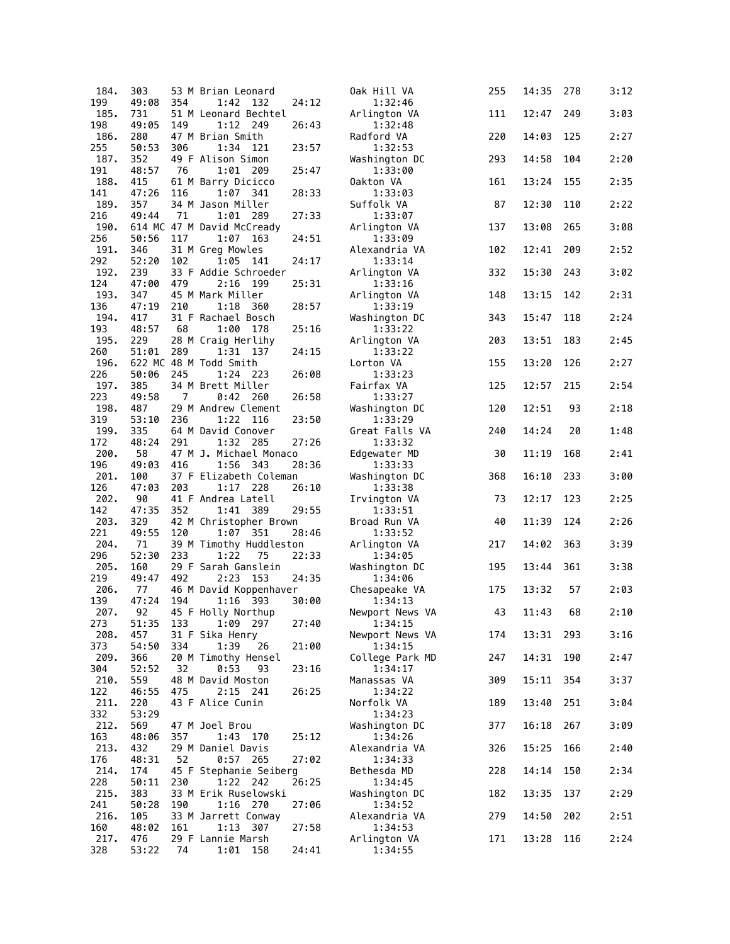| 184.        | 303          |                | 53 M Brian Leonard                     |       | Oak Hill VA                | 255 | 14:35 | 278 | 3:12 |
|-------------|--------------|----------------|----------------------------------------|-------|----------------------------|-----|-------|-----|------|
| 199         | 49:08        | 354            | 1:42<br>132                            | 24:12 | 1:32:46                    |     |       |     |      |
| 185.<br>198 | 731<br>49:05 | 149            | 51 M Leonard Bechtel<br>1:12 249       | 26:43 | Arlington VA               | 111 | 12:47 | 249 | 3:03 |
| 186.        | 280          |                | 47 M Brian Smith                       |       | 1:32:48<br>Radford VA      | 220 | 14:03 | 125 | 2:27 |
| 255         | 50:53        | 306            | 1:34<br>121                            | 23:57 | 1:32:53                    |     |       |     |      |
| 187.        | 352          |                | 49 F Alison Simon                      |       | Washington DC              | 293 | 14:58 | 104 | 2:20 |
| 191         | 48:57        | 76             | 1:01<br>209                            | 25:47 | 1:33:00                    |     |       |     |      |
| 188.<br>141 | 415<br>47:26 |                | 61 M Barry Dicicco<br>$1:07$ 341       |       | Oakton VA                  | 161 | 13:24 | 155 | 2:35 |
| 189.        | 357          | 116            | 34 M Jason Miller                      | 28:33 | 1:33:03<br>Suffolk VA      | 87  | 12:30 | 110 | 2:22 |
| 216         | 49:44        | 71             | 1:01<br>- 289                          | 27:33 | 1:33:07                    |     |       |     |      |
| 190.        |              |                | 614 MC 47 M David McCready             |       | Arlington VA               | 137 | 13:08 | 265 | 3:08 |
| 256<br>191. | 50:56<br>346 | 117            | 1:07 163<br>31 M Greg Mowles           | 24:51 | 1:33:09<br>Alexandria VA   | 102 | 12:41 | 209 | 2:52 |
| 292         | 52:20        | 102            | 1:05<br>141                            | 24:17 | 1:33:14                    |     |       |     |      |
| 192.        | 239          |                | 33 F Addie Schroeder                   |       | Arlington VA               | 332 | 15:30 | 243 | 3:02 |
| 124         | 47:00        | 479            | 2:16<br>199                            | 25:31 | 1:33:16                    |     |       |     |      |
| 193.<br>136 | 347<br>47:19 | 210            | 45 M Mark Miller<br>1:18<br>- 360      | 28:57 | Arlington VA<br>1:33:19    | 148 | 13:15 | 142 | 2:31 |
| 194.        | 417          |                | 31 F Rachael Bosch                     |       | Washington DC              | 343 | 15:47 | 118 | 2:24 |
| 193         | 48:57        | 68             | 1:00<br>178                            | 25:16 | 1:33:22                    |     |       |     |      |
| 195.        | 229          |                | 28 M Craig Herlihy                     |       | Arlington VA               | 203 | 13:51 | 183 | 2:45 |
| 260         | 51:01        | 289            | 1:31 137                               | 24:15 | 1:33:22                    |     |       |     |      |
| 196.<br>226 | 50:06        | 245            | 622 MC 48 M Todd Smith<br>1:24 223     | 26:08 | Lorton VA<br>1:33:23       | 155 | 13:20 | 126 | 2:27 |
| 197.        | 385          |                | 34 M Brett Miller                      |       | Fairfax VA                 | 125 | 12:57 | 215 | 2:54 |
| 223         | 49:58        | $\overline{7}$ | $0:42$ 260                             | 26:58 | 1:33:27                    |     |       |     |      |
| 198.        | 487          |                | 29 M Andrew Clement                    |       | Washington DC              | 120 | 12:51 | 93  | 2:18 |
| 319<br>199. | 53:10<br>335 | 236            | 1:22<br>116<br>64 M David Conover      | 23:50 | 1:33:29<br>Great Falls VA  | 240 | 14:24 | 20  | 1:48 |
| 172         | 48:24        | 291            | 1:32 285                               | 27:26 | 1:33:32                    |     |       |     |      |
| 200.        | 58           |                | 47 M J. Michael Monaco                 |       | Edgewater MD               | 30  | 11:19 | 168 | 2:41 |
| 196<br>201. | 49:03<br>100 | 416            | 1:56<br>-343<br>37 F Elizabeth Coleman | 28:36 | 1:33:33                    | 368 | 16:10 | 233 | 3:00 |
| 126         | 47:03        | 203            | 1:17<br>228                            | 26:10 | Washington DC<br>1:33:38   |     |       |     |      |
| 202.        | 90           |                | 41 F Andrea Latell                     |       | Irvington VA               | 73  | 12:17 | 123 | 2:25 |
| 142         | 47:35        | 352            | 1:41 389                               | 29:55 | 1:33:51                    |     |       |     |      |
| 203.<br>221 | 329<br>49:55 | 120            | 42 M Christopher Brown<br>1:07 351     | 28:46 | Broad Run VA<br>1:33:52    | 40  | 11:39 | 124 | 2:26 |
| 204.        | 71           |                | 39 M Timothy Huddleston                |       | Arlington VA               | 217 | 14:02 | 363 | 3:39 |
| 296         | 52:30        | 233            | 1:22<br>75                             | 22:33 | 1:34:05                    |     |       |     |      |
| 205.        | 160          |                | 29 F Sarah Ganslein                    |       | Washington DC              | 195 | 13:44 | 361 | 3:38 |
| 219<br>206. | 49:47<br>77  | 492            | 2:23<br>153<br>46 M David Koppenhaver  | 24:35 | 1:34:06<br>Chesapeake VA   | 175 | 13:32 | 57  | 2:03 |
| 139         | 47:24        | 194            | 1:16 393                               | 30:00 | 1:34:13                    |     |       |     |      |
| 207.        | 92           |                | 45 F Holly Northup                     |       | Newport News VA            | 43  | 11:43 | 68  | 2:10 |
| 273         | 51:35        | 133            | 1:09 297                               | 27:40 | 1:34:15                    |     |       |     |      |
| 208.<br>373 | 457<br>54:50 | 334            | 31 F Sika Henry<br>1:39<br>26          | 21:00 | Newport News VA<br>1:34:15 | 174 | 13:31 | 293 | 3:16 |
| 209.        | 366          |                | 20 M Timothy Hensel                    |       | College Park MD            | 247 | 14:31 | 190 | 2:47 |
| 304         | 52:52        | 32             | 0:53<br>93                             | 23:16 | 1:34:17                    |     |       |     |      |
| 210.        | 559          |                | 48 M David Moston                      |       | Manassas VA                | 309 | 15:11 | 354 | 3:37 |
| 122<br>211. | 46:55<br>220 | 475            | 2:15 241<br>43 F Alice Cunin           | 26:25 | 1:34:22<br>Norfolk VA      | 189 | 13:40 | 251 | 3:04 |
| 332         | 53:29        |                |                                        |       | 1:34:23                    |     |       |     |      |
| 212.        | 569          |                | 47 M Joel Brou                         |       | Washington DC              | 377 | 16:18 | 267 | 3:09 |
| 163<br>213. | 48:06        | 357            | 1:43 170                               | 25:12 | 1:34:26                    |     |       |     |      |
| 176         | 432<br>48:31 | 52             | 29 M Daniel Davis<br>$0:57$ 265        | 27:02 | Alexandria VA<br>1:34:33   | 326 | 15:25 | 166 | 2:40 |
| 214.        | 174          |                | 45 F Stephanie Seiberg                 |       | Bethesda MD                | 228 | 14:14 | 150 | 2:34 |
| 228         | 50:11        | 230            | 1:22 242                               | 26:25 | 1:34:45                    |     |       |     |      |
| 215.<br>241 | 383<br>50:28 | 190            | 33 M Erik Ruselowski<br>1:16 270       | 27:06 | Washington DC<br>1:34:52   | 182 | 13:35 | 137 | 2:29 |
| 216.        | 105          |                | 33 M Jarrett Conway                    |       | Alexandria VA              | 279 | 14:50 | 202 | 2:51 |
| 160         | 48:02        | 161            | 1:13 307                               | 27:58 | 1:34:53                    |     |       |     |      |
| 217.        | 476          |                | 29 F Lannie Marsh                      |       | Arlington VA               | 171 | 13:28 | 116 | 2:24 |
| 328         | 53:22        | 74             | 1:01 158                               | 24:41 | 1:34:55                    |     |       |     |      |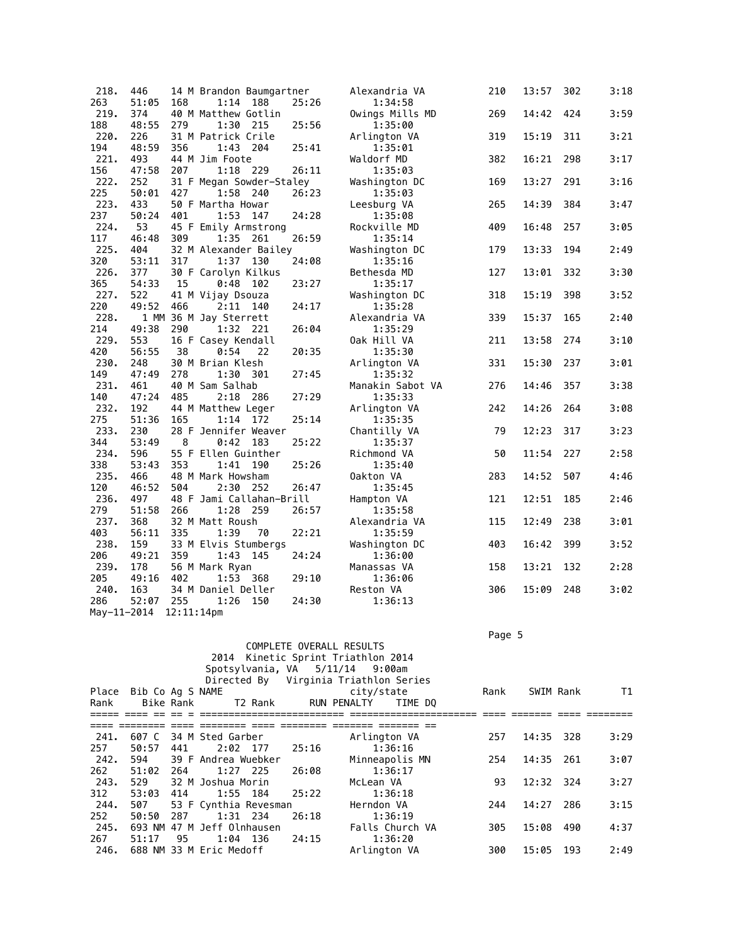| 218.        | 446   |               | 14 M Brandon Baumgartner |     |       | Alexandria VA    | 210 | 13:57 | 302 | 3:18 |
|-------------|-------|---------------|--------------------------|-----|-------|------------------|-----|-------|-----|------|
| 263         | 51:05 | 168           | 1:14 188                 |     | 25:26 | 1:34:58          |     |       |     |      |
| 219.        | 374   |               | 40 M Matthew Gotlin      |     |       | Owings Mills MD  | 269 | 14:42 | 424 | 3:59 |
| 188         | 48:55 | 279           | 1:30                     | 215 | 25:56 | 1:35:00          |     |       |     |      |
| 220.        | 226   |               | 31 M Patrick Crile       |     |       | Arlington VA     | 319 | 15:19 | 311 | 3:21 |
| 194         | 48:59 | 356           | 1:43 204                 |     | 25:41 | 1:35:01          |     |       |     |      |
| 221.        | 493   |               | 44 M Jim Foote           |     |       | Waldorf MD       | 382 | 16:21 | 298 | 3:17 |
| 156         | 47:58 | 207           | 1:18 229                 |     | 26:11 | 1:35:03          |     |       |     |      |
| 222.        | 252   |               | 31 F Megan Sowder-Staley |     |       | Washington DC    | 169 | 13:27 | 291 | 3:16 |
| 225         | 50:01 | 427           | 1:58 240                 |     | 26:23 | 1:35:03          |     |       |     |      |
| 223.        | 433   |               | 50 F Martha Howar        |     |       | Leesburg VA      | 265 | 14:39 | 384 | 3:47 |
| 237         | 50:24 | 401           | 1:53                     | 147 | 24:28 | 1:35:08          |     |       |     |      |
| 224.        | 53    |               | 45 F Emily Armstrong     |     |       | Rockville MD     | 409 | 16:48 | 257 | 3:05 |
| 117         | 46:48 | 309           | 1:35 261                 |     | 26:59 | 1:35:14          |     |       |     |      |
| 225.        | 404   |               | 32 M Alexander Bailey    |     |       | Washington DC    | 179 | 13:33 | 194 | 2:49 |
| 320         | 53:11 | 317           | 1:37 130                 |     | 24:08 | 1:35:16          |     |       |     |      |
| 226.        | 377   |               | 30 F Carolyn Kilkus      |     |       | Bethesda MD      | 127 | 13:01 | 332 | 3:30 |
| 365         | 54:33 | 15            | 0:48                     | 102 | 23:27 | 1:35:17          |     |       |     |      |
| 227.        | 522   |               | 41 M Vijay Dsouza        |     |       | Washington DC    | 318 | 15:19 | 398 | 3:52 |
| 220         | 49:52 | 466           | 2:11 140                 |     | 24:17 | 1:35:28          |     |       |     |      |
| 228.        |       |               | 1 MM 36 M Jay Sterrett   |     |       | Alexandria VA    | 339 | 15:37 | 165 | 2:40 |
| 214         | 49:38 | 290           | 1:32 221                 |     | 26:04 | 1:35:29          |     |       |     |      |
| 229.        | 553   |               | 16 F Casey Kendall       |     |       | Oak Hill VA      | 211 | 13:58 | 274 | 3:10 |
| 420         | 56:55 | 38            | 0:54                     | 22  | 20:35 | 1:35:30          |     |       |     |      |
| 230.        | 248   |               | 30 M Brian Klesh         |     |       | Arlington VA     | 331 | 15:30 | 237 | 3:01 |
| 149         | 47:49 | 278           | 1:30 301                 |     | 27:45 | 1:35:32          |     |       |     |      |
| 231.        | 461   |               | 40 M Sam Salhab          |     |       | Manakin Sabot VA | 276 | 14:46 | 357 | 3:38 |
| 140         | 47:24 | 485           | 2:18                     | 286 | 27:29 | 1:35:33          |     |       |     |      |
| 232.        | 192   |               | 44 M Matthew Leger       |     |       | Arlington VA     | 242 | 14:26 | 264 | 3:08 |
| 275         | 51:36 | 165           | 1:14                     | 172 | 25:14 | 1:35:35          |     |       |     |      |
| 233.        | 230   |               | 28 F Jennifer Weaver     |     |       | Chantilly VA     | 79  | 12:23 | 317 | 3:23 |
| 344         | 53:49 | 8             | 0:42                     | 183 | 25:22 | 1:35:37          |     |       |     |      |
| 234.        | 596   |               | 55 F Ellen Guinther      |     |       | Richmond VA      | 50  | 11:54 | 227 | 2:58 |
| 338         | 53:43 | 353           | 1:41                     | 190 | 25:26 | 1:35:40          |     |       |     |      |
| 235.        | 466   |               | 48 M Mark Howsham        |     |       | Oakton VA        | 283 | 14:52 | 507 | 4:46 |
| 120         | 46:52 | 504           | 2:30                     | 252 | 26:47 | 1:35:45          |     |       |     |      |
| 236.        | 497   |               | 48 F Jami Callahan-Brill |     |       | Hampton VA       | 121 | 12:51 | 185 | 2:46 |
| 279         | 51:58 | 266           | 1:28                     | 259 | 26:57 | 1:35:58          |     |       |     |      |
| 237.        | 368   |               | 32 M Matt Roush          |     |       | Alexandria VA    | 115 | 12:49 | 238 | 3:01 |
| 403         | 56:11 | 335           | 1:39                     | 70  | 22:21 | 1:35:59          |     |       |     |      |
| 238.        | 159   |               | 33 M Elvis Stumbergs     |     |       | Washington DC    | 403 | 16:42 | 399 | 3:52 |
| 206         | 49:21 | 359           | 1:43                     | 145 | 24:24 | 1:36:00          |     |       |     |      |
| 239.        | 178   |               | 56 M Mark Ryan           |     |       | Manassas VA      | 158 | 13:21 | 132 | 2:28 |
| 205         | 49:16 | 402           | 1:53 368                 |     | 29:10 | 1:36:06          |     |       |     |      |
| 240.        | 163   |               | 34 M Daniel Deller       |     |       | Reston VA        | 306 | 15:09 | 248 | 3:02 |
| 286         | 52:07 | 255           | 1:26                     | 150 | 24:30 | 1:36:13          |     |       |     |      |
| May-11-2014 |       | $12:11:14$ pm |                          |     |       |                  |     |       |     |      |

Page 5 - Page 5 - Page 5 - Page 5 - Page 5 - Page 5 - Page 5 - Page 5 - Page 5 - Page 5 - Page 5

|       |     |                                     |                                                                                                                                                                                     |                                                    |                                                                                                                                |                                                                                               |       | T1                                                    |
|-------|-----|-------------------------------------|-------------------------------------------------------------------------------------------------------------------------------------------------------------------------------------|----------------------------------------------------|--------------------------------------------------------------------------------------------------------------------------------|-----------------------------------------------------------------------------------------------|-------|-------------------------------------------------------|
|       |     |                                     |                                                                                                                                                                                     |                                                    |                                                                                                                                |                                                                                               |       |                                                       |
|       |     |                                     |                                                                                                                                                                                     |                                                    |                                                                                                                                |                                                                                               |       |                                                       |
| 607 C |     |                                     |                                                                                                                                                                                     | Arlington VA                                       | 257                                                                                                                            |                                                                                               |       | 3:29                                                  |
| 50:57 | 441 |                                     | 25:16                                                                                                                                                                               | 1:36:16                                            |                                                                                                                                |                                                                                               |       |                                                       |
| 594   |     |                                     |                                                                                                                                                                                     |                                                    | 254                                                                                                                            |                                                                                               | 261   | 3:07                                                  |
| 51:02 | 264 |                                     |                                                                                                                                                                                     | 1:36:17                                            |                                                                                                                                |                                                                                               |       |                                                       |
| 529   |     |                                     |                                                                                                                                                                                     | McLean VA                                          | 93                                                                                                                             |                                                                                               |       | 3:27                                                  |
| 53:03 | 414 |                                     |                                                                                                                                                                                     | 1:36:18                                            |                                                                                                                                |                                                                                               |       |                                                       |
| 507   |     |                                     |                                                                                                                                                                                     | Herndon VA                                         | 244                                                                                                                            |                                                                                               | 286   | 3:15                                                  |
| 50:50 | 287 |                                     | 26:18                                                                                                                                                                               | 1:36:19                                            |                                                                                                                                |                                                                                               |       |                                                       |
|       |     |                                     |                                                                                                                                                                                     |                                                    | 305                                                                                                                            |                                                                                               | 490   | 4:37                                                  |
| 51:17 | 95  |                                     | 24:15                                                                                                                                                                               | 1:36:20                                            |                                                                                                                                |                                                                                               |       |                                                       |
|       |     |                                     |                                                                                                                                                                                     | Arlington VA                                       | 300                                                                                                                            | 15:05                                                                                         | 193   | 2:49                                                  |
|       |     | Place Bib Co Ag S NAME<br>Bike Rank | 34 M Sted Garber<br>2:02 177<br>39 F Andrea Wuebker<br>1:27 225<br>32 M Joshua Morin<br>1:55 184<br>$1:31$ 234<br>693 NM 47 M Jeff Olnhausen<br>1:04 136<br>688 NM 33 M Eric Medoff | T2 Rank<br>26:08<br>25:22<br>53 F Cynthia Revesman | COMPLETE OVERALL RESULTS<br>2014 Kinetic Sprint Triathlon 2014<br>Spotsylvania, VA 5/11/14 9:00am<br>city/state<br>RUN PENALTY | Directed By Virginia Triathlon Series<br>Rank<br>TIME DO<br>Minneapolis MN<br>Falls Church VA | 15:08 | SWIM Rank<br>14:35 328<br>14:35<br>12:32 324<br>14:27 |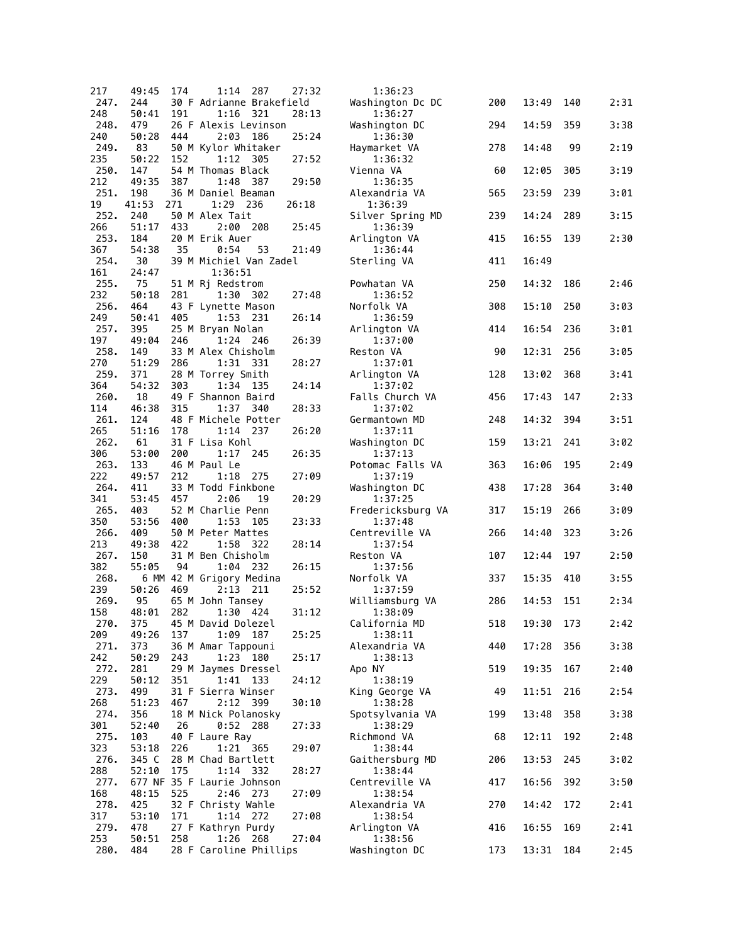| 217         | 49:45        | 174 | 1:14<br>287                            | 27:32 | 1:36:23                      |     |           |     |      |
|-------------|--------------|-----|----------------------------------------|-------|------------------------------|-----|-----------|-----|------|
| 247.<br>248 | 244<br>50:41 | 191 | 30 F Adrianne Brakefield<br>$1:16$ 321 | 28:13 | Washington Dc DC<br>1:36:27  | 200 | 13:49     | 140 | 2:31 |
| 248.        | 479          |     | 26 F Alexis Levinson                   |       | Washington DC                | 294 | 14:59     | 359 | 3:38 |
| 240<br>249. | 50:28<br>83  | 444 | 2:03 186<br>50 M Kylor Whitaker        | 25:24 | 1:36:30<br>Haymarket VA      | 278 | 14:48     | 99  | 2:19 |
| 235         | 50:22        | 152 | 1:12 305                               | 27:52 | 1:36:32                      |     |           |     |      |
| 250.<br>212 | 147<br>49:35 | 387 | 54 M Thomas Black<br>1:48<br>-387      | 29:50 | Vienna VA<br>1:36:35         | 60  | 12:05     | 305 | 3:19 |
| 251.        | 198          |     | 36 M Daniel Beaman                     |       | Alexandria VA                | 565 | 23:59     | 239 | 3:01 |
| 19<br>252.  | 41:53<br>240 | 271 | 1:29 236<br>50 M Alex Tait             | 26:18 | 1:36:39<br>Silver Spring MD  | 239 | 14:24     | 289 | 3:15 |
| 266         | 51:17        | 433 | 2:00 208                               | 25:45 | 1:36:39                      |     | 16:55     |     |      |
| 253.<br>367 | 184<br>54:38 | 35  | 20 M Erik Auer<br>0:54<br>53           | 21:49 | Arlington VA<br>1:36:44      | 415 |           | 139 | 2:30 |
| 254.<br>161 | 30<br>24:47  |     | 39 M Michiel Van Zadel<br>1:36:51      |       | Sterling VA                  | 411 | 16:49     |     |      |
| 255.        | 75           |     | 51 M Rj Redstrom                       |       | Powhatan VA                  | 250 | 14:32     | 186 | 2:46 |
| 232<br>256. | 50:18<br>464 | 281 | 1:30 302<br>43 F Lynette Mason         | 27:48 | 1:36:52<br>Norfolk VA        | 308 | 15:10     | 250 | 3:03 |
| 249         | 50:41        | 405 | 1:53 231                               | 26:14 | 1:36:59                      |     |           |     |      |
| 257.<br>197 | 395<br>49:04 | 246 | 25 M Bryan Nolan<br>1:24 246           | 26:39 | Arlington VA<br>1:37:00      | 414 | 16:54     | 236 | 3:01 |
| 258.        | 149          |     | 33 M Alex Chisholm                     |       | Reston VA                    | 90  | 12:31     | 256 | 3:05 |
| 270<br>259. | 51:29<br>371 | 286 | 1:31 331<br>28 M Torrey Smith          | 28:27 | 1:37:01<br>Arlington VA      | 128 | 13:02     | 368 | 3:41 |
| 364         | 54:32        | 303 | 1:34 135                               | 24:14 | 1:37:02                      |     |           |     |      |
| 260.<br>114 | 18<br>46:38  | 315 | 49 F Shannon Baird<br>1:37<br>340      | 28:33 | Falls Church VA<br>1:37:02   | 456 | 17:43     | 147 | 2:33 |
| 261.<br>265 | 124<br>51:16 | 178 | 48 F Michele Potter<br>$1:14$ 237      | 26:20 | Germantown MD<br>1:37:11     | 248 | 14:32     | 394 | 3:51 |
| 262.        | 61           |     | 31 F Lisa Kohl                         |       | Washington DC                | 159 | 13:21     | 241 | 3:02 |
| 306<br>263. | 53:00<br>133 | 200 | 1:17<br>245<br>46 M Paul Le            | 26:35 | 1:37:13<br>Potomac Falls VA  | 363 | 16:06     | 195 | 2:49 |
| 222         | 49:57        | 212 | 1:18<br>- 275                          | 27:09 | 1:37:19                      |     |           |     |      |
| 264.<br>341 | 411<br>53:45 | 457 | 33 M Todd Finkbone<br>2:06<br>19       | 20:29 | Washington DC<br>1:37:25     | 438 | 17:28     | 364 | 3:40 |
| 265.<br>350 | 403<br>53:56 | 400 | 52 M Charlie Penn<br>1:53<br>105       | 23:33 | Fredericksburg VA<br>1:37:48 | 317 | 15:19     | 266 | 3:09 |
| 266.        | 409          |     | 50 M Peter Mattes                      |       | Centreville VA               | 266 | 14:40     | 323 | 3:26 |
| 213<br>267. | 49:38<br>150 | 422 | 1:58<br>- 322<br>31 M Ben Chisholm     | 28:14 | 1:37:54<br>Reston VA         | 107 | 12:44     | 197 | 2:50 |
| 382         | 55:05        | 94  | $1:04$ 232                             | 26:15 | 1:37:56                      |     |           |     |      |
| 268.<br>239 | 50:26        | 469 | 6 MM 42 M Grigory Medina<br>2:13 211   | 25:52 | Norfolk VA<br>1:37:59        | 337 | 15:35     | 410 | 3:55 |
| 269.        | 95           |     | 65 M John Tansey                       |       | Williamsburg VA              | 286 | 14:53     | 151 | 2:34 |
| 158<br>270. | 48:01<br>375 | 282 | 1:30 424<br>45 M David Dolezel         | 31:12 | 1:38:09<br>California MD     | 518 | 19:30 173 |     | 2:42 |
| 209<br>271. | 49:26<br>373 | 137 | 1:09 187<br>36 M Amar Tappouni         | 25:25 | 1:38:11<br>Alexandria VA     | 440 | 17:28     | 356 | 3:38 |
| 242         | 50:29        | 243 | 1:23<br>180                            | 25:17 | 1:38:13                      |     |           |     |      |
| 272.<br>229 | 281<br>50:12 | 351 | 29 M Jaymes Dressel<br>1:41 133        | 24:12 | Apo NY<br>1:38:19            | 519 | 19:35     | 167 | 2:40 |
| 273.        | 499          |     | 31 F Sierra Winser                     |       | King George VA               | 49  | 11:51     | 216 | 2:54 |
| 268<br>274. | 51:23<br>356 | 467 | 2:12 399<br>18 M Nick Polanosky        | 30:10 | 1:38:28<br>Spotsylvania VA   | 199 | 13:48     | 358 | 3:38 |
| 301         | 52:40        | 26  | 0:52<br>- 288                          | 27:33 | 1:38:29                      |     |           |     |      |
| 275.<br>323 | 103<br>53:18 | 226 | 40 F Laure Ray<br>1:21 365             | 29:07 | Richmond VA<br>1:38:44       | 68  | 12:11     | 192 | 2:48 |
| 276.        | 345 C        |     | 28 M Chad Bartlett<br>1:14 332         |       | Gaithersburg MD              | 206 | 13:53     | 245 | 3:02 |
| 288<br>277. | 52:10        | 175 | 677 NF 35 F Laurie Johnson             | 28:27 | 1:38:44<br>Centreville VA    | 417 | 16:56     | 392 | 3:50 |
| 168<br>278. | 48:15<br>425 | 525 | 2:46 273<br>32 F Christy Wahle         | 27:09 | 1:38:54<br>Alexandria VA     | 270 | 14:42     | 172 | 2:41 |
| 317         | 53:10        | 171 | 1:14 272                               | 27:08 | 1:38:54                      |     |           |     |      |
| 279.<br>253 | 478<br>50:51 | 258 | 27 F Kathryn Purdy<br>1:26<br>268      | 27:04 | Arlington VA<br>1:38:56      | 416 | 16:55     | 169 | 2:41 |
| 280.        | 484          |     | 28 F Caroline Phillips                 |       | Washington DC                | 173 | 13:31     | 184 | 2:45 |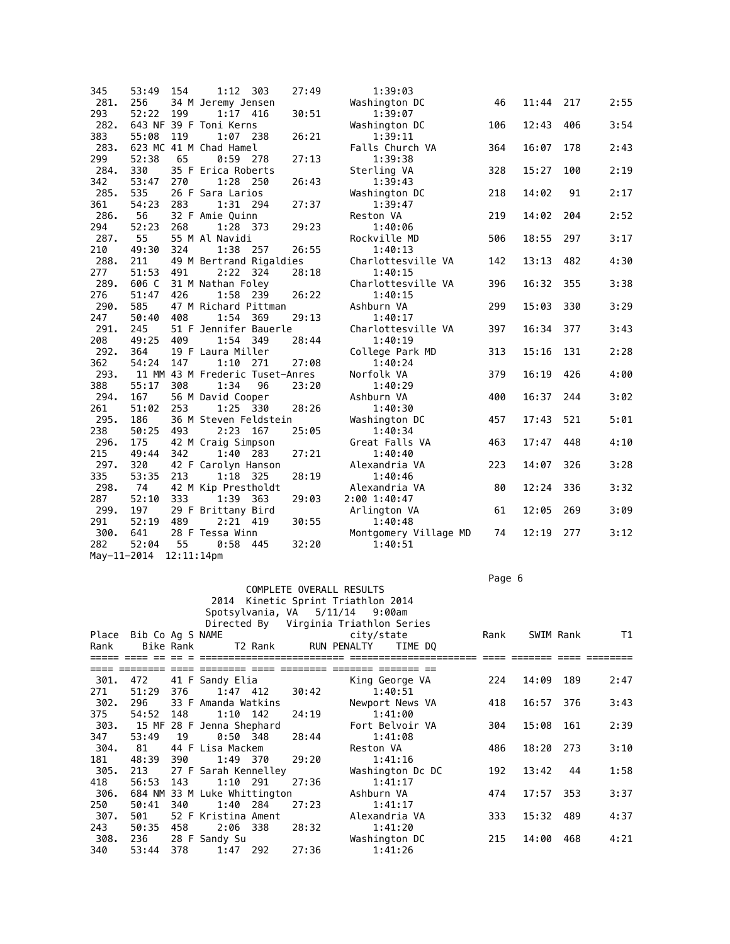| 345         | 53:49 | 154        | 1:12                            | 303 | 27:49 | 1:39:03               |     |       |     |      |
|-------------|-------|------------|---------------------------------|-----|-------|-----------------------|-----|-------|-----|------|
| 281.        | 256   |            | 34 M Jeremy Jensen              |     |       | Washington DC         | 46  | 11:44 | 217 | 2:55 |
| 293         | 52:22 | 199        | $1:17$ 416                      |     | 30:51 | 1:39:07               |     |       |     |      |
| 282.        |       |            | 643 NF 39 F Toni Kerns          |     |       | Washington DC         | 106 | 12:43 | 406 | 3:54 |
| 383         | 55:08 | 119        | $1:07$ 238                      |     | 26:21 | 1:39:11               |     |       |     |      |
| 283.        |       |            | 623 MC 41 M Chad Hamel          |     |       | Falls Church VA       | 364 | 16:07 | 178 | 2:43 |
| 299         | 52:38 | 65         | $0:59$ 278                      |     | 27:13 | 1:39:38               |     |       |     |      |
| 284.        | 330   |            | 35 F Erica Roberts              |     |       | Sterling VA           | 328 | 15:27 | 100 | 2:19 |
| 342         | 53:47 | 270        | 1:28                            | 250 | 26:43 | 1:39:43               |     |       |     |      |
| 285.        | 535   |            | 26 F Sara Larios                |     |       | Washington DC         | 218 | 14:02 | 91  | 2:17 |
| 361         | 54:23 | 283        | 1:31 294                        |     | 27:37 | 1:39:47               |     |       |     |      |
| 286.        | 56    |            | 32 F Amie Quinn                 |     |       | Reston VA             | 219 | 14:02 | 204 | 2:52 |
| 294         | 52:23 | 268        | 1:28 373                        |     | 29:23 | 1:40:06               |     |       |     |      |
| 287.        | 55    |            | 55 M Al Navidi                  |     |       | Rockville MD          | 506 | 18:55 | 297 | 3:17 |
| 210         | 49:30 | 324        | 1:38                            | 257 | 26:55 | 1:40:13               |     |       |     |      |
| 288.        | 211   |            | 49 M Bertrand Rigaldies         |     |       | Charlottesville VA    | 142 | 13:13 | 482 | 4:30 |
| 277         | 51:53 | 491        | 2:22 324                        |     | 28:18 | 1:40:15               |     |       |     |      |
| 289.        | 606 C |            | 31 M Nathan Foley               |     |       | Charlottesville VA    | 396 | 16:32 | 355 | 3:38 |
| 276         | 51:47 | 426        | 1:58                            | 239 | 26:22 | 1:40:15               |     |       |     |      |
| 290.        | 585   |            | 47 M Richard Pittman            |     |       | Ashburn VA            | 299 | 15:03 | 330 | 3:29 |
| 247         | 50:40 | 408        | 1:54                            | 369 | 29:13 | 1:40:17               |     |       |     |      |
| 291.        | 245   |            | 51 F Jennifer Bauerle           |     |       | Charlottesville VA    | 397 | 16:34 | 377 | 3:43 |
| 208         | 49:25 | 409        | 1:54 349                        |     | 28:44 | 1:40:19               |     |       |     |      |
| 292.        | 364   |            | 19 F Laura Miller               |     |       | College Park MD       | 313 | 15:16 | 131 | 2:28 |
| 362         | 54:24 | 147        | $1:10$ 271                      |     | 27:08 | 1:40:24               |     |       |     |      |
| 293.        |       |            | 11 MM 43 M Frederic Tuset-Anres |     |       | Norfolk VA            | 379 | 16:19 | 426 | 4:00 |
| 388         | 55:17 | 308        | 1:34                            | 96  | 23:20 | 1:40:29               |     |       |     |      |
| 294.        | 167   |            | 56 M David Cooper               |     |       | Ashburn VA            | 400 | 16:37 | 244 | 3:02 |
| 261         | 51:02 | 253        | 1:25 330                        |     | 28:26 | 1:40:30               |     |       |     |      |
| 295.        | 186   |            | 36 M Steven Feldstein           |     |       | Washington DC         | 457 | 17:43 | 521 | 5:01 |
| 238         | 50:25 | 493        | $2:23$ 167                      |     | 25:05 | 1:40:34               |     |       |     |      |
| 296.        | 175   |            | 42 M Craig Simpson              |     |       | Great Falls VA        | 463 | 17:47 | 448 | 4:10 |
| 215         | 49:44 | 342        | 1:40 283                        |     | 27:21 | 1:40:40               |     |       |     |      |
| 297.        | 320   |            | 42 F Carolyn Hanson             |     |       | Alexandria VA         | 223 | 14:07 | 326 | 3:28 |
| 335         | 53:35 | 213        | $1:18$ 325                      |     | 28:19 | 1:40:46               |     |       |     |      |
| 298.        | 74    |            | 42 M Kip Prestholdt             |     |       | Alexandria VA         | 80  | 12:24 | 336 | 3:32 |
| 287         | 52:10 | 333        | 1:39 363                        |     | 29:03 | 2:00 1:40:47          |     |       |     |      |
| 299.        | 197   |            | 29 F Brittany Bird              |     |       | Arlington VA          | 61  | 12:05 | 269 | 3:09 |
| 291         | 52:19 | 489        | 2:21                            | 419 | 30:55 | 1:40:48               |     |       |     |      |
| 300.        | 641   |            | 28 F Tessa Winn                 |     |       | Montgomery Village MD | 74  | 12:19 | 277 | 3:12 |
| 282         | 52:04 | 55         | 0:58                            | 445 | 32:20 | 1:40:51               |     |       |     |      |
| May-11-2014 |       | 12:11:14pm |                                 |     |       |                       |     |       |     |      |

Page 6 - Page 6 - Page 6 - Page 6 - Page 6 - Page 6 - Page 6 - Page 6 - Page 6 - Page 6 - Page 6

|       |                  |     |                              |       |       | 2014 Kinetic Sprint Triathlon 2014    |                  |      |           |           |      |
|-------|------------------|-----|------------------------------|-------|-------|---------------------------------------|------------------|------|-----------|-----------|------|
|       |                  |     |                              |       |       | Spotsylvania, VA 5/11/14 9:00am       |                  |      |           |           |      |
|       |                  |     |                              |       |       | Directed By Virginia Triathlon Series |                  |      |           |           |      |
| Place | Bib Co Aq S NAME |     |                              |       |       | city/state                            |                  | Rank |           | SWIM Rank | T1   |
| Rank  |                  |     | Bike Rank T2 Rank            |       |       | RUN PENALTY                           | TIME DO          |      |           |           |      |
|       |                  |     |                              |       |       |                                       |                  |      |           |           |      |
| 301.  | 472              |     | 41 F Sandy Elia              |       |       |                                       | King George VA   | 224  | 14:09     | 189       | 2:47 |
| 271   | 51:29            | 376 | $1:47$ 412                   |       | 30:42 |                                       | 1:40:51          |      |           |           |      |
| 302.  | 296              |     | 33 F Amanda Watkins          |       |       |                                       | Newport News VA  | 418  | 16:57     | 376       | 3:43 |
| 375   | 54:52 148        |     | $1:10$ 142                   |       | 24:19 |                                       | 1:41:00          |      |           |           |      |
| 303.  |                  |     | 15 MF 28 F Jenna Shephard    |       |       |                                       | Fort Belvoir VA  | 304  | 15:08     | 161       | 2:39 |
| 347   | 53:49            | 19  | 0:50 348                     |       | 28:44 |                                       | 1:41:08          |      |           |           |      |
| 304.  | 81               |     | 44 F Lisa Mackem             |       |       | Reston VA                             |                  | 486  | 18:20 273 |           | 3:10 |
| 181   | 48:39            | 390 | 1:49 370                     |       | 29:20 |                                       | 1:41:16          |      |           |           |      |
| 305.  | 213              |     | 27 F Sarah Kennelley         |       |       |                                       | Washington Dc DC | 192  | 13:42     | 44        | 1:58 |
| 418   | 56:53            | 143 | $1:10$ 291                   |       | 27:36 |                                       | 1:41:17          |      |           |           |      |
| 306.  |                  |     | 684 NM 33 M Luke Whittington |       |       | Ashburn VA                            |                  | 474  | 17:57     | 353       | 3:37 |
| 250   | 50:41            | 340 | 1:40 284                     |       | 27:23 |                                       | 1:41:17          |      |           |           |      |
| 307.  | 501              |     | 52 F Kristina Ament          |       |       |                                       | Alexandria VA    | 333  | 15:32 489 |           | 4:37 |
| 243   | 50:35            | 458 | 2:06                         | - 338 | 28:32 |                                       | 1:41:20          |      |           |           |      |
| 308.  | 236              |     | 28 F Sandy Su                |       |       |                                       | Washington DC    | 215  | 14:00     | 468       | 4:21 |
| 340   | 53:44            | 378 | $1:47$ 292                   |       | 27:36 |                                       | 1:41:26          |      |           |           |      |

COMPLETE OVERALL RESULTS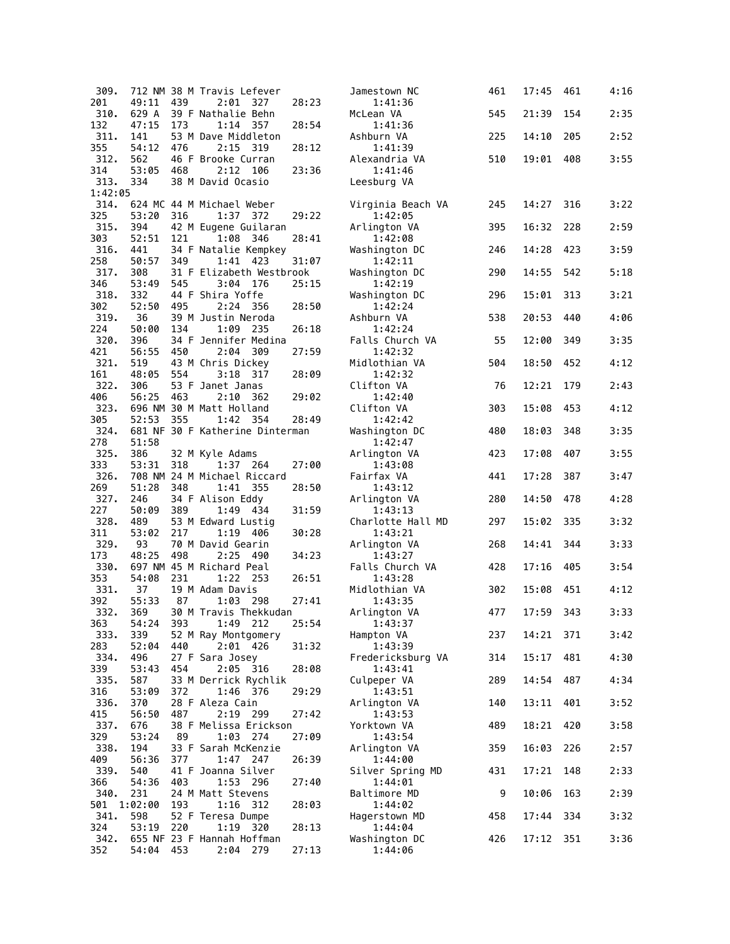| 309.        |              |     | 712 NM 38 M Travis Lefever              |       | Jamestown NC                 | 461 | 17:45 | 461 | 4:16 |
|-------------|--------------|-----|-----------------------------------------|-------|------------------------------|-----|-------|-----|------|
| 201         | 49:11        | 439 | 2:01<br>327                             | 28:23 | 1:41:36                      |     |       |     |      |
| 310.        | 629 A        |     | 39 F Nathalie Behn                      |       | McLean VA                    | 545 | 21:39 | 154 | 2:35 |
| 132         | 47:15        | 173 | 1:14 357                                | 28:54 | 1:41:36                      |     |       |     |      |
| 311.<br>355 | 141<br>54:12 | 476 | 53 M Dave Middleton<br>2:15<br>319      | 28:12 | Ashburn VA<br>1:41:39        | 225 | 14:10 | 205 | 2:52 |
| 312.        | 562          |     | 46 F Brooke Curran                      |       | Alexandria VA                | 510 | 19:01 | 408 | 3:55 |
| 314         | 53:05        | 468 | 2:12<br>106                             | 23:36 | 1:41:46                      |     |       |     |      |
| 313.        | 334          |     | 38 M David Ocasio                       |       | Leesburg VA                  |     |       |     |      |
| 1:42:05     |              |     |                                         |       |                              |     |       |     |      |
| 314.        |              |     | 624 MC 44 M Michael Weber               |       | Virginia Beach VA            | 245 | 14:27 | 316 | 3:22 |
| 325         | 53:20        | 316 | 1:37<br>372                             | 29:22 | 1:42:05                      |     |       |     |      |
| 315.        | 394          |     | 42 M Eugene Guilaran                    |       | Arlington VA                 | 395 | 16:32 | 228 | 2:59 |
| 303         | 52:51        | 121 | 1:08 346                                | 28:41 | 1:42:08                      |     |       |     |      |
| 316.        | 441          |     | 34 F Natalie Kempkey                    |       | Washington DC                | 246 | 14:28 | 423 | 3:59 |
| 258         | 50:57        | 349 | 1:41<br>423                             | 31:07 | 1:42:11                      |     |       |     |      |
| 317.<br>346 | 308<br>53:49 | 545 | 31 F Elizabeth Westbrook<br>3:04<br>176 | 25:15 | Washington DC<br>1:42:19     | 290 | 14:55 | 542 | 5:18 |
| 318.        | 332          |     | 44 F Shira Yoffe                        |       | Washington DC                | 296 | 15:01 | 313 | 3:21 |
| 302         | 52:50        | 495 | 2:24 356                                | 28:50 | 1:42:24                      |     |       |     |      |
| 319.        | 36           |     | 39 M Justin Neroda                      |       | Ashburn VA                   | 538 | 20:53 | 440 | 4:06 |
| 224         | 50:00        | 134 | 1:09 235                                | 26:18 | 1:42:24                      |     |       |     |      |
| 320.        | 396          |     | 34 F Jennifer Medina                    |       | Falls Church VA              | 55  | 12:00 | 349 | 3:35 |
| 421         | 56:55        | 450 | 2:04<br>309                             | 27:59 | 1:42:32                      |     |       |     |      |
| 321.        | 519          |     | 43 M Chris Dickey                       |       | Midlothian VA                | 504 | 18:50 | 452 | 4:12 |
| 161         | 48:05        | 554 | 3:18 317                                | 28:09 | 1:42:32                      |     |       |     |      |
| 322.        | 306          |     | 53 F Janet Janas                        |       | Clifton VA                   | 76  | 12:21 | 179 | 2:43 |
| 406         | 56:25        | 463 | 2:10<br>362                             | 29:02 | 1:42:40                      |     |       |     |      |
| 323.<br>305 | 52:53        | 355 | 696 NM 30 M Matt Holland<br>1:42 354    | 28:49 | Clifton VA<br>1:42:42        | 303 | 15:08 | 453 | 4:12 |
| 324.        |              |     | 681 NF 30 F Katherine Dinterman         |       | Washington DC                | 480 | 18:03 | 348 | 3:35 |
| 278         | 51:58        |     |                                         |       | 1:42:47                      |     |       |     |      |
| 325.        | 386          |     | 32 M Kyle Adams                         |       | Arlington VA                 | 423 | 17:08 | 407 | 3:55 |
| 333         | 53:31        | 318 | 1:37 264                                | 27:00 | 1:43:08                      |     |       |     |      |
| 326.        |              |     | 708 NM 24 M Michael Riccard             |       | Fairfax VA                   | 441 | 17:28 | 387 | 3:47 |
| 269         | 51:28        | 348 | 1:41<br>355                             | 28:50 | 1:43:12                      |     |       |     |      |
| 327.        | 246          |     | 34 F Alison Eddy                        |       | Arlington VA                 | 280 | 14:50 | 478 | 4:28 |
| 227         | 50:09        | 389 | 1:49 434                                | 31:59 | 1:43:13                      |     |       |     |      |
| 328.<br>311 | 489<br>53:02 | 217 | 53 M Edward Lustig<br>1:19              | 30:28 | Charlotte Hall MD            | 297 | 15:02 | 335 | 3:32 |
| 329.        | 93           |     | 406<br>70 M David Gearin                |       | 1:43:21<br>Arlington VA      | 268 | 14:41 | 344 | 3:33 |
| 173         | 48:25        | 498 | 2:25<br>490                             | 34:23 | 1:43:27                      |     |       |     |      |
| 330.        |              |     | 697 NM 45 M Richard Peal                |       | Falls Church VA              | 428 | 17:16 | 405 | 3:54 |
| 353         | 54:08        | 231 | 1:22<br>- 253                           | 26:51 | 1:43:28                      |     |       |     |      |
| 331.        | 37           |     | 19 M Adam Davis                         |       | Midlothian VA                | 302 | 15:08 | 451 | 4:12 |
| 392         | 55:33        | 87  | 1:03<br>- 298                           | 27:41 | 1:43:35                      |     |       |     |      |
| 332.        | 369          |     | 30 M Travis Thekkudan                   |       | Arlington VA                 | 477 | 17:59 | 343 | 3:33 |
| 363         | 54:24        | 393 | 1:49 212                                | 25:54 | 1:43:37                      |     |       |     |      |
| 333.        | 339          |     | 52 M Ray Montgomery                     |       | Hampton VA                   | 237 | 14:21 | 371 | 3:42 |
| 283<br>334. | 52:04<br>496 | 440 | 2:01<br>426<br>27 F Sara Josey          | 31:32 | 1:43:39                      | 314 | 15:17 | 481 | 4:30 |
| 339         | 53:43        | 454 | 2:05 316                                | 28:08 | Fredericksburg VA<br>1:43:41 |     |       |     |      |
| 335.        | 587          |     | 33 M Derrick Rychlik                    |       | Culpeper VA                  | 289 | 14:54 | 487 | 4:34 |
| 316         | 53:09        | 372 | 1:46 376                                | 29:29 | 1:43:51                      |     |       |     |      |
| 336.        | 370          |     | 28 F Aleza Cain                         |       | Arlington VA                 | 140 | 13:11 | 401 | 3:52 |
| 415         | 56:50        | 487 | 2:19 299                                | 27:42 | 1:43:53                      |     |       |     |      |
| 337.        | 676          |     | 38 F Melissa Erickson                   |       | Yorktown VA                  | 489 | 18:21 | 420 | 3:58 |
| 329         | 53:24        | 89  | 1:03 274                                | 27:09 | 1:43:54                      |     |       |     |      |
| 338.        | 194          |     | 33 F Sarah McKenzie                     |       | Arlington VA                 | 359 | 16:03 | 226 | 2:57 |
| 409         | 56:36        | 377 | 1:47<br>247                             | 26:39 | 1:44:00                      |     |       |     |      |
| 339.        | 540          |     | 41 F Joanna Silver                      |       | Silver Spring MD             | 431 | 17:21 | 148 | 2:33 |
| 366<br>340. | 54:36<br>231 | 403 | 1:53 296<br>24 M Matt Stevens           | 27:40 | 1:44:01<br>Baltimore MD      | 9   | 10:06 | 163 | 2:39 |
| 501         | 1:02:00      | 193 | $1:16$ 312                              | 28:03 | 1:44:02                      |     |       |     |      |
| 341.        | 598          |     | 52 F Teresa Dumpe                       |       | Hagerstown MD                | 458 | 17:44 | 334 | 3:32 |
| 324         | 53:19        | 220 | 1:19 320                                | 28:13 | 1:44:04                      |     |       |     |      |
| 342.        |              |     | 655 NF 23 F Hannah Hoffman              |       | Washington DC                | 426 | 17:12 | 351 | 3:36 |
| 352         | 54:04 453    |     | 2:04 279                                | 27:13 | 1:44:06                      |     |       |     |      |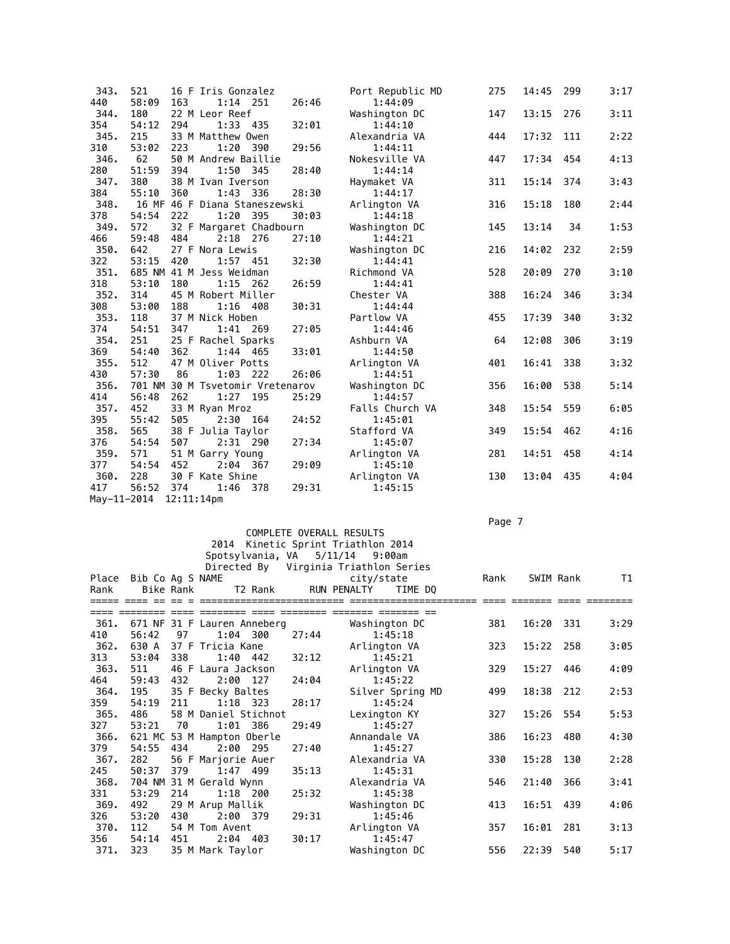| 343.        | 521   |            | 16 F Iris Gonzalez               |       |       | Port Republic MD | 275 | 14:45 | 299 | 3:17 |
|-------------|-------|------------|----------------------------------|-------|-------|------------------|-----|-------|-----|------|
| 440         | 58:09 | 163        | $1:14$ 251                       |       | 26:46 | 1:44:09          |     |       |     |      |
| 344.        | 180   |            | 22 M Leor Reef                   |       |       | Washington DC    | 147 | 13:15 | 276 | 3:11 |
| 354         | 54:12 | 294        | 1:33                             | - 435 | 32:01 | 1:44:10          |     |       |     |      |
| 345.        | 215   |            | 33 M Matthew Owen                |       |       | Alexandria VA    | 444 | 17:32 | 111 | 2:22 |
| 310         | 53:02 | 223        | 1:20                             | 390   | 29:56 | 1:44:11          |     |       |     |      |
| 346.        | 62    |            | 50 M Andrew Baillie              |       |       | Nokesville VA    | 447 | 17:34 | 454 | 4:13 |
| 280         | 51:59 | 394        | 1:50                             | - 345 | 28:40 | 1:44:14          |     |       |     |      |
| 347.        | 380   |            | 38 M Ivan Iverson                |       |       | Haymaket VA      | 311 | 15:14 | 374 | 3:43 |
| 384         | 55:10 | 360        | 1:43                             | 336   | 28:30 | 1:44:17          |     |       |     |      |
| 348.        |       |            | 16 MF 46 F Diana Staneszewski    |       |       | Arlington VA     | 316 | 15:18 | 180 | 2:44 |
| 378         | 54:54 | 222        | 1:20                             | 395   | 30:03 | 1:44:18          |     |       |     |      |
| 349.        | 572   |            | 32 F Margaret Chadbourn          |       |       | Washington DC    | 145 | 13:14 | 34  | 1:53 |
| 466         | 59:48 | 484        | 2:18 276                         |       | 27:10 | 1:44:21          |     |       |     |      |
| 350.        | 642   |            | 27 F Nora Lewis                  |       |       | Washington DC    | 216 | 14:02 | 232 | 2:59 |
| 322         | 53:15 | 420        | $1:57$ 451                       |       | 32:30 | 1:44:41          |     |       |     |      |
| 351.        |       |            | 685 NM 41 M Jess Weidman         |       |       | Richmond VA      | 528 | 20:09 | 270 | 3:10 |
| 318         | 53:10 | 180        | 1:15                             | 262   | 26:59 | 1:44:41          |     |       |     |      |
| 352.        | 314   |            | 45 M Robert Miller               |       |       | Chester VA       | 388 | 16:24 | 346 | 3:34 |
| 308         | 53:00 | 188        | 1:16 408                         |       | 30:31 | 1:44:44          |     |       |     |      |
| 353.        | 118   |            | 37 M Nick Hoben                  |       |       | Partlow VA       | 455 | 17:39 | 340 | 3:32 |
| 374         | 54:51 | 347        | 1:41 269                         |       | 27:05 | 1:44:46          |     |       |     |      |
| 354.        | 251   |            | 25 F Rachel Sparks               |       |       | Ashburn VA       | 64  | 12:08 | 306 | 3:19 |
| 369         | 54:40 | 362        | 1:44 465                         |       | 33:01 | 1:44:50          |     |       |     |      |
| 355.        | 512   |            | 47 M Oliver Potts                |       |       | Arlington VA     | 401 | 16:41 | 338 | 3:32 |
| 430         | 57:30 | 86         | 1:03                             | 222   | 26:06 | 1:44:51          |     |       |     |      |
| 356.        |       |            | 701 NM 30 M Tsvetomir Vretenarov |       |       | Washington DC    | 356 | 16:00 | 538 | 5:14 |
| 414         | 56:48 | 262        | 1:27 195                         |       | 25:29 | 1:44:57          |     |       |     |      |
| 357.        | 452   |            | 33 M Ryan Mroz                   |       |       | Falls Church VA  | 348 | 15:54 | 559 | 6:05 |
| 395         | 55:42 | 505        | 2:30 164                         |       | 24:52 | 1:45:01          |     |       |     |      |
| 358.        | 565   |            | 38 F Julia Taylor                |       |       | Stafford VA      | 349 | 15:54 | 462 | 4:16 |
| 376         | 54:54 | 507        | 2:31 290                         |       | 27:34 | 1:45:07          |     |       |     |      |
| 359.        | 571   |            | 51 M Garry Young                 |       |       | Arlington VA     | 281 | 14:51 | 458 | 4:14 |
| 377         | 54:54 | 452        | 2:04 367                         |       | 29:09 | 1:45:10          |     |       |     |      |
| 360.        | 228   |            | 30 F Kate Shine                  |       |       | Arlington VA     | 130 | 13:04 | 435 | 4:04 |
| 417         | 56:52 | 374        | 1:46                             | 378   | 29:31 | 1:45:15          |     |       |     |      |
| May-11-2014 |       | 12:11:14pm |                                  |       |       |                  |     |       |     |      |

## Page 7 - Page 7 - Page 7 - Page 7 - Page 7 - Page 7 - Page 7 - Page 7 - Page 7 - Page 7 - Page 7 - Page 7

## COMPLETE OVERALL RESULTS 2014 Kinetic Sprint Triathlon 2014 Spotsylvania, VA 5/11/14 9:00am

|      |                        |           |                             |            |       | Directed By Virginia Triathlon Series |                  |      |           |     |      |
|------|------------------------|-----------|-----------------------------|------------|-------|---------------------------------------|------------------|------|-----------|-----|------|
|      | Place Bib Co Ag S NAME |           |                             |            |       | city/state                            |                  | Rank | SWIM Rank |     | T1   |
| Rank |                        | Bike Rank |                             | T2 Rank    |       | RUN PENALTY                           | TIME DO          |      |           |     |      |
|      |                        |           |                             |            |       |                                       |                  |      |           |     |      |
|      |                        |           |                             |            |       |                                       |                  |      |           |     |      |
| 361. |                        |           | 671 NF 31 F Lauren Anneberg |            |       | Washington DC                         |                  | 381  | 16:20 331 |     | 3:29 |
| 410  | 56:42                  | 97        |                             | 1:04 300   | 27:44 |                                       | 1:45:18          |      |           |     |      |
| 362. | 630 A                  |           | 37 F Tricia Kane            |            |       | Arlington VA                          |                  | 323  | 15:22     | 258 | 3:05 |
| 313  | 53:04                  | 338       |                             | 1:40 442   | 32:12 |                                       | 1:45:21          |      |           |     |      |
| 363. | 511                    |           | 46 F Laura Jackson          |            |       | Arlington VA                          |                  | 329  | 15:27     | 446 | 4:09 |
| 464  | 59:43                  | 432       |                             | 2:00 127   | 24:04 |                                       | 1:45:22          |      |           |     |      |
| 364. | 195                    |           | 35 F Becky Baltes           |            |       |                                       | Silver Spring MD | 499  | 18:38     | 212 | 2:53 |
| 359  | 54:19                  | 211       |                             | $1:18$ 323 | 28:17 |                                       | 1:45:24          |      |           |     |      |
| 365. | 486                    |           | 58 M Daniel Stichnot        |            |       | Lexington KY                          |                  | 327  | 15:26     | 554 | 5:53 |
| 327  | 53:21                  | 70        |                             | 1:01 386   | 29:49 |                                       | 1:45:27          |      |           |     |      |
| 366. |                        |           | 621 MC 53 M Hampton Oberle  |            |       | Annandale VA                          |                  | 386  | 16:23     | 480 | 4:30 |
| 379  | 54:55                  | 434       |                             | 2:00 295   | 27:40 |                                       | 1:45:27          |      |           |     |      |
| 367. | 282                    |           | 56 F Marjorie Auer          |            |       | Alexandria VA                         |                  | 330  | 15:28     | 130 | 2:28 |
| 245  | 50:37                  | 379       |                             | 1:47 499   | 35:13 |                                       | 1:45:31          |      |           |     |      |
| 368. |                        |           | 704 NM 31 M Gerald Wynn     |            |       | Alexandria VA                         |                  | 546  | 21:40     | 366 | 3:41 |
| 331  | 53:29                  | 214       |                             | $1:18$ 200 | 25:32 |                                       | 1:45:38          |      |           |     |      |
| 369. | 492                    |           | 29 M Arup Mallik            |            |       | Washington DC                         |                  | 413  | 16:51     | 439 | 4:06 |
| 326  | 53:20                  | 430       |                             | 2:00 379   | 29:31 |                                       | 1:45:46          |      |           |     |      |
| 370. | 112                    |           | 54 M Tom Avent              |            |       | Arlington VA                          |                  | 357  | 16:01     | 281 | 3:13 |
| 356  | 54:14                  | 451       |                             | $2:04$ 403 | 30:17 |                                       | 1:45:47          |      |           |     |      |
| 371. | 323                    |           | 35 M Mark Taylor            |            |       | Washington DC                         |                  | 556  | 22:39     | 540 | 5:17 |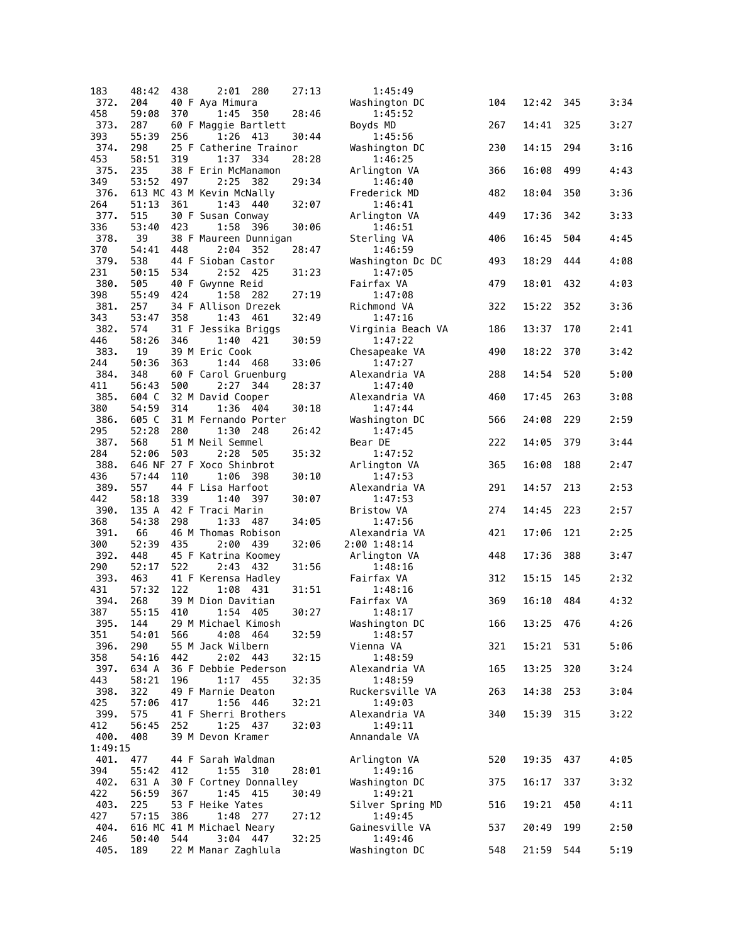| 183         | 48:42        | 438 | 2:01<br>280                     | 27:13 | 1:45:49                  |     |           |     |      |
|-------------|--------------|-----|---------------------------------|-------|--------------------------|-----|-----------|-----|------|
| 372.        | 204          |     | 40 F Aya Mimura                 |       | Washington DC            | 104 | 12:42     | 345 | 3:34 |
| 458         | 59:08        | 370 | 350<br>1:45                     | 28:46 | 1:45:52                  |     |           |     |      |
| 373.        | 287          |     | 60 F Maggie Bartlett            |       | Boyds MD                 | 267 | 14:41     | 325 | 3:27 |
| 393         | 55:39        | 256 | 1:26<br>413                     | 30:44 | 1:45:56                  |     |           |     |      |
| 374.        | 298          |     | 25 F Catherine Trainor          |       | Washington DC            | 230 | 14:15     | 294 | 3:16 |
| 453         | 58:51        | 319 | 1:37 334                        | 28:28 | 1:46:25                  |     |           |     |      |
| 375.        | 235          |     | 38 F Erin McManamon             |       | Arlington VA             | 366 | 16:08     | 499 | 4:43 |
| 349         | 53:52        | 497 | 2:25<br>382                     | 29:34 | 1:46:40                  |     |           |     |      |
| 376.        |              |     | 613 MC 43 M Kevin McNally       |       | Frederick MD             | 482 | 18:04     | 350 | 3:36 |
| 264<br>377. | 51:13<br>515 | 361 | 1:43 440<br>30 F Susan Conway   | 32:07 | 1:46:41<br>Arlington VA  | 449 | 17:36     | 342 | 3:33 |
| 336         | 53:40        | 423 | 1:58<br>- 396                   | 30:06 | 1:46:51                  |     |           |     |      |
| 378.        | 39           |     | 38 F Maureen Dunnigan           |       | Sterling VA              | 406 | 16:45     | 504 | 4:45 |
| 370         | 54:41        | 448 | 2:04<br>352                     | 28:47 | 1:46:59                  |     |           |     |      |
| 379.        | 538          |     | 44 F Sioban Castor              |       | Washington Dc DC         | 493 | 18:29     | 444 | 4:08 |
| 231         | 50:15        | 534 | 2:52 425                        | 31:23 | 1:47:05                  |     |           |     |      |
| 380.        | 505          |     | 40 F Gwynne Reid                |       | Fairfax VA               | 479 | 18:01     | 432 | 4:03 |
| 398         | 55:49        | 424 | 1:58 282                        | 27:19 | 1:47:08                  |     |           |     |      |
| 381.        | 257          |     | 34 F Allison Drezek             |       | Richmond VA              | 322 | 15:22     | 352 | 3:36 |
| 343         | 53:47        | 358 | 1:43<br>461                     | 32:49 | 1:47:16                  |     |           |     |      |
| 382.        | 574          |     | 31 F Jessika Briggs             |       | Virginia Beach VA        | 186 | 13:37     | 170 | 2:41 |
| 446         | 58:26        | 346 | 1:40<br>421                     | 30:59 | 1:47:22                  |     |           |     |      |
| 383.<br>244 | 19<br>50:36  | 363 | 39 M Eric Cook<br>1:44 468      | 33:06 | Chesapeake VA<br>1:47:27 | 490 | 18:22     | 370 | 3:42 |
| 384.        | 348          |     | 60 F Carol Gruenburg            |       | Alexandria VA            | 288 | 14:54     | 520 | 5:00 |
| 411         | 56:43        | 500 | 2:27<br>344                     | 28:37 | 1:47:40                  |     |           |     |      |
| 385.        | 604 C        |     | 32 M David Cooper               |       | Alexandria VA            | 460 | 17:45     | 263 | 3:08 |
| 380         | 54:59        | 314 | 1:36<br>404                     | 30:18 | 1:47:44                  |     |           |     |      |
| 386.        | 605 C        |     | 31 M Fernando Porter            |       | Washington DC            | 566 | 24:08     | 229 | 2:59 |
| 295         | 52:28        | 280 | 1:30<br>248                     | 26:42 | 1:47:45                  |     |           |     |      |
| 387.        | 568          |     | 51 M Neil Semmel                |       | Bear DE                  | 222 | 14:05     | 379 | 3:44 |
| 284         | 52:06        | 503 | 2:28<br>505                     | 35:32 | 1:47:52                  |     |           |     |      |
| 388.        |              |     | 646 NF 27 F Xoco Shinbrot       |       | Arlington VA             | 365 | 16:08     | 188 | 2:47 |
| 436         | 57:44        | 110 | 1:06<br>- 398                   | 30:10 | 1:47:53                  |     |           |     |      |
| 389.<br>442 | 557<br>58:18 | 339 | 44 F Lisa Harfoot<br>1:40       |       | Alexandria VA            | 291 | 14:57     | 213 | 2:53 |
| 390.        | 135 A        |     | - 397<br>42 F Traci Marin       | 30:07 | 1:47:53<br>Bristow VA    | 274 | 14:45     | 223 | 2:57 |
| 368         | 54:38        | 298 | 1:33 487                        | 34:05 | 1:47:56                  |     |           |     |      |
| 391.        | 66           |     | 46 M Thomas Robison             |       | Alexandria VA            | 421 | 17:06     | 121 | 2:25 |
| 300         | 52:39        | 435 | 2:00<br>439                     | 32:06 | 2:00 1:48:14             |     |           |     |      |
| 392.        | 448          |     | 45 F Katrina Koomey             |       | Arlington VA             | 448 | 17:36     | 388 | 3:47 |
| 290         | 52:17        | 522 | 2:43<br>432                     | 31:56 | 1:48:16                  |     |           |     |      |
| 393.        | 463          |     | 41 F Kerensa Hadley             |       | Fairfax VA               | 312 | 15:15     | 145 | 2:32 |
| 431         | 57:32        | 122 | 1:08<br>-431                    | 31:51 | 1:48:16                  |     |           |     |      |
| 394.        | 268          |     | 39 M Dion Davitian              |       | Fairfax VA               | 369 | 16:10     | 484 | 4:32 |
| 387         | 55:15        | 410 | 1:54<br>405                     | 30:27 | 1:48:17                  |     |           |     |      |
| 395.<br>351 | 144<br>54:01 | 566 | 29 M Michael Kimosh<br>4:08 464 | 32:59 | Washington DC<br>1:48:57 | 166 | 13:25 476 |     | 4:26 |
| 396.        | 290          |     | 55 M Jack Wilbern               |       | Vienna VA                | 321 | 15:21     | 531 | 5:06 |
| 358         | 54:16        | 442 | 2:02 443                        | 32:15 | 1:48:59                  |     |           |     |      |
| 397.        | 634 A        |     | 36 F Debbie Pederson            |       | Alexandria VA            | 165 | 13:25     | 320 | 3:24 |
| 443         | 58:21        | 196 | 1:17 455                        | 32:35 | 1:48:59                  |     |           |     |      |
| 398.        | 322          |     | 49 F Marnie Deaton              |       | Ruckersville VA          | 263 | 14:38     | 253 | 3:04 |
| 425         | 57:06        | 417 | 1:56 446                        | 32:21 | 1:49:03                  |     |           |     |      |
| 399.        | 575          |     | 41 F Sherri Brothers            |       | Alexandria VA            | 340 | 15:39     | 315 | 3:22 |
| 412         | 56:45        | 252 | $1:25$ 437                      | 32:03 | 1:49:11                  |     |           |     |      |
| 400.        | 408          |     | 39 M Devon Kramer               |       | Annandale VA             |     |           |     |      |
| 1:49:15     |              |     |                                 |       |                          |     |           |     |      |
| 401.        | 477<br>55:42 |     | 44 F Sarah Waldman<br>1:55 310  |       | Arlington VA             | 520 | 19:35     | 437 | 4:05 |
| 394<br>402. | 631 A        | 412 | 30 F Cortney Donnalley          | 28:01 | 1:49:16<br>Washington DC | 375 | 16:17     | 337 | 3:32 |
| 422         | 56:59        | 367 | 1:45<br>- 415                   | 30:49 | 1:49:21                  |     |           |     |      |
| 403.        | 225          |     | 53 F Heike Yates                |       | Silver Spring MD         | 516 | 19:21     | 450 | 4:11 |
| 427         | 57:15        | 386 | 1:48 277                        | 27:12 | 1:49:45                  |     |           |     |      |
| 404.        |              |     | 616 MC 41 M Michael Neary       |       | Gainesville VA           | 537 | 20:49     | 199 | 2:50 |
| 246         | 50:40        | 544 | $3:04$ 447                      | 32:25 | 1:49:46                  |     |           |     |      |
| 405.        | 189          |     | 22 M Manar Zaghlula             |       | Washington DC            | 548 | 21:59     | 544 | 5:19 |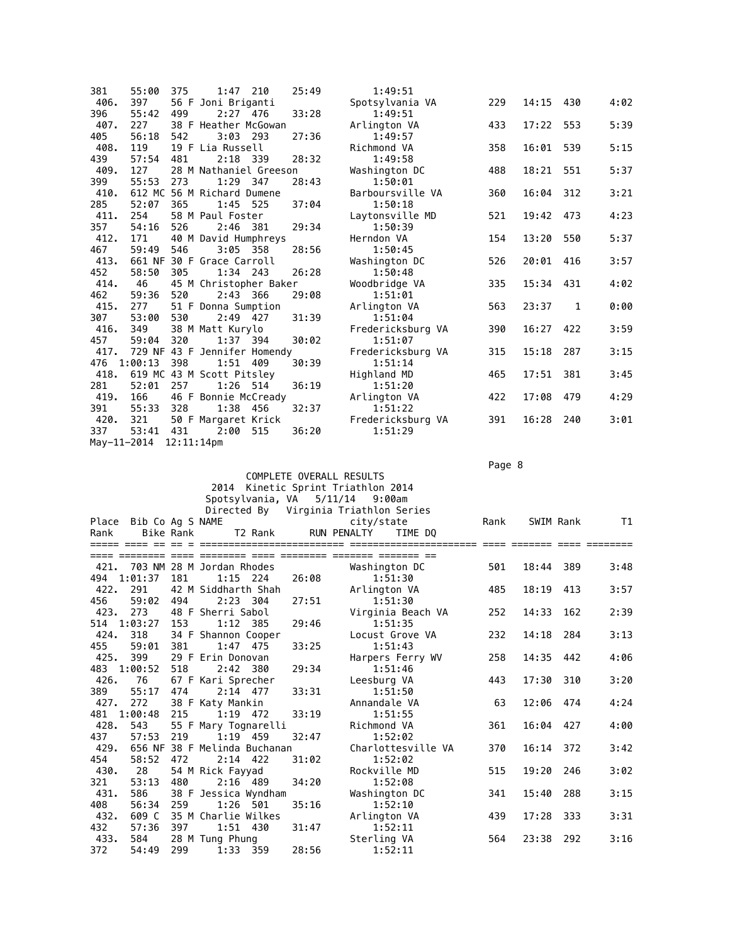| 381         | 55:00         | 375           | 1:47                         | 210 | 25:49 | 1:49:51           |     |       |              |      |
|-------------|---------------|---------------|------------------------------|-----|-------|-------------------|-----|-------|--------------|------|
| 406.        | 397           |               | 56 F Joni Briganti           |     |       | Spotsylvania VA   | 229 | 14:15 | 430          | 4:02 |
| 396         | 55:42         | 499           | $2:27$ 476                   |     | 33:28 | 1:49:51           |     |       |              |      |
| 407.        | 227           |               | 38 F Heather McGowan         |     |       | Arlington VA      | 433 | 17:22 | 553          | 5:39 |
| 405         | 56:18         | 542           | $3:03$ 293                   |     | 27:36 | 1:49:57           |     |       |              |      |
| 408.        | 119           |               | 19 F Lia Russell             |     |       | Richmond VA       | 358 | 16:01 | 539          | 5:15 |
| 439         | 57:54         | 481           | 2:18 339                     |     | 28:32 | 1:49:58           |     |       |              |      |
| 409.        | 127           |               | 28 M Nathaniel Greeson       |     |       | Washington DC     | 488 | 18:21 | 551          | 5:37 |
| 399         | 55:53         | 273           | 1:29 347                     |     | 28:43 | 1:50:01           |     |       |              |      |
| 410.        |               |               | 612 MC 56 M Richard Dumene   |     |       | Barboursville VA  | 360 | 16:04 | 312          | 3:21 |
| 285         | 52:07         | 365           | 1:45                         | 525 | 37:04 | 1:50:18           |     |       |              |      |
| 411.        | 254           |               | 58 M Paul Foster             |     |       | Laytonsville MD   | 521 | 19:42 | 473          | 4:23 |
| 357         | 54:16         | 526           | $2:46$ 381                   |     | 29:34 | 1:50:39           |     |       |              |      |
| 412.        | 171           |               | 40 M David Humphreys         |     |       | Herndon VA        | 154 | 13:20 | 550          | 5:37 |
| 467         | 59:49         | 546           | 3:05 358                     |     | 28:56 | 1:50:45           |     |       |              |      |
| 413.        |               |               | 661 NF 30 F Grace Carroll    |     |       | Washington DC     | 526 | 20:01 | 416          | 3:57 |
| 452         | 58:50         | 305           | $1:34$ 243                   |     | 26:28 | 1:50:48           |     |       |              |      |
| 414.        | 46            |               | 45 M Christopher Baker       |     |       | Woodbridge VA     | 335 | 15:34 | 431          | 4:02 |
| 462         | 59:36         | 520           | 2:43 366                     |     | 29:08 | 1:51:01           |     |       |              |      |
| 415.        | 277           |               | 51 F Donna Sumption          |     |       | Arlington VA      | 563 | 23:37 | $\mathbf{1}$ | 0:00 |
| 307         | 53:00         | 530           | $2:49$ 427                   |     | 31:39 | 1:51:04           |     |       |              |      |
| 416.        | 349           |               | 38 M Matt Kurylo             |     |       | Fredericksburg VA | 390 | 16:27 | 422          | 3:59 |
| 457         | 59:04         | 320           | 1:37 394                     |     | 30:02 | 1:51:07           |     |       |              |      |
| 417.        |               |               | 729 NF 43 F Jennifer Homendy |     |       | Fredericksburg VA | 315 | 15:18 | 287          | 3:15 |
| 476         | $1:00:13$ 398 |               | 1:51 409                     |     | 30:39 | 1:51:14           |     |       |              |      |
| 418.        |               |               | 619 MC 43 M Scott Pitsley    |     |       | Highland MD       | 465 | 17:51 | 381          | 3:45 |
| 281         | 52:01         | 257           | 1:26 514                     |     | 36:19 | 1:51:20           |     |       |              |      |
| 419.        | 166           |               | 46 F Bonnie McCready         |     |       | Arlington VA      | 422 | 17:08 | 479          | 4:29 |
| 391         | 55:33         | 328           | 1:38 456                     |     | 32:37 | 1:51:22           |     |       |              |      |
| 420.        | 321           |               | 50 F Margaret Krick          |     |       | Fredericksburg VA | 391 | 16:28 | 240          | 3:01 |
| 337         | 53:41         | 431           | 2:00                         | 515 | 36:20 | 1:51:29           |     |       |              |      |
| May-11-2014 |               | $12:11:14$ pm |                              |     |       |                   |     |       |              |      |
|             |               |               |                              |     |       |                   |     |       |              |      |

en de la participación de la contrada de la contrada de la contrada de la contrada de la contrada de la contra

 COMPLETE OVERALL RESULTS 2014 Kinetic Sprint Triathlon 2014

|       |                                |           |                              |                        |       | Spotsylvania, VA 5/11/14 9:00am       |      |           |     |      |
|-------|--------------------------------|-----------|------------------------------|------------------------|-------|---------------------------------------|------|-----------|-----|------|
|       |                                |           |                              |                        |       | Directed By Virginia Triathlon Series |      |           |     |      |
| Place | Bib Co Ag S NAME               |           |                              |                        |       | city/state                            | Rank | SWIM Rank |     | T1   |
| Rank  |                                | Bike Rank |                              | T2 Rank                |       | TIME DO<br>RUN PENALTY                |      |           |     |      |
|       |                                |           |                              |                        |       |                                       |      |           |     |      |
|       |                                |           |                              | scopocco codo coopocco |       |                                       |      |           |     |      |
|       | 421. 703 NM 28 M Jordan Rhodes |           |                              |                        |       | Washington DC                         | 501  | 18:44     | 389 | 3:48 |
| 494   | 1:01:37                        | 181       |                              | $1:15$ 224             | 26:08 | 1:51:30                               |      |           |     |      |
| 422.  | 291                            |           | 42 M Siddharth Shah          |                        |       | Arlington VA                          | 485  | 18:19     | 413 | 3:57 |
| 456   | 59:02                          | 494       |                              | 2:23 304               | 27:51 | 1:51:30                               |      |           |     |      |
| 423.  | 273                            |           | 48 F Sherri Sabol            |                        |       | Virginia Beach VA                     | 252  | 14:33     | 162 | 2:39 |
| 514   | 1:03:27                        | - 153     |                              | $1:12$ 385             | 29:46 | 1:51:35                               |      |           |     |      |
| 424.  | 318                            |           | 34 F Shannon Cooper          |                        |       | Locust Grove VA                       | 232  | 14:18     | 284 | 3:13 |
| 455   | 59:01 381                      |           | 1:47                         | 475                    | 33:25 | 1:51:43                               |      |           |     |      |
| 425.  | 399                            |           | 29 F Erin Donovan            |                        |       | Harpers Ferry WV                      | 258  | 14:35     | 442 | 4:06 |
| 483   | 1:00:52                        | 518       |                              | 2:42 380               | 29:34 | 1:51:46                               |      |           |     |      |
| 426.  | 76                             |           | 67 F Kari Sprecher           |                        |       | Leesburg VA                           | 443  | 17:30     | 310 | 3:20 |
| 389   | 55:17                          | 474       | $2:14$ 477                   |                        | 33:31 | 1:51:50                               |      |           |     |      |
| 427.  | 272                            |           | 38 F Katy Mankin             |                        |       | Annandale VA                          | 63   | 12:06     | 474 | 4:24 |
| 481   | 1:00:48                        | 215       |                              | $1:19$ 472             | 33:19 | 1:51:55                               |      |           |     |      |
| 428.  | 543                            |           | 55 F Mary Tognarelli         |                        |       | Richmond VA                           | 361  | 16:04     | 427 | 4:00 |
| 437   | 57:53                          | 219       |                              | 1:19 459               | 32:47 | 1:52:02                               |      |           |     |      |
| 429.  |                                |           | 656 NF 38 F Melinda Buchanan |                        |       | Charlottesville VA                    | 370  | 16:14     | 372 | 3:42 |
| 454   | 58:52                          | 472       |                              | $2:14$ 422             | 31:02 | 1:52:02                               |      |           |     |      |
| 430.  | 28                             |           | 54 M Rick Fayyad             |                        |       | Rockville MD                          | 515  | 19:20     | 246 | 3:02 |
| 321   | 53:13                          | 480       |                              | $2:16$ 489             | 34:20 | 1:52:08                               |      |           |     |      |
| 431.  | 586                            |           | 38 F Jessica Wyndham         |                        |       | Washington DC                         | 341  | 15:40     | 288 | 3:15 |
| 408   | 56:34                          | 259       | 1:26                         | 501                    | 35:16 | 1:52:10                               |      |           |     |      |
| 432.  | 609 C                          |           | 35 M Charlie Wilkes          |                        |       | Arlington VA                          | 439  | 17:28     | 333 | 3:31 |
| 432   | 57:36                          | 397       |                              | $1:51$ 430             | 31:47 | 1:52:11                               |      |           |     |      |
| 433.  | 584                            |           | 28 M Tung Phung              |                        |       | Sterling VA                           | 564  | 23:38     | 292 | 3:16 |
| 372   | 54:49                          | 299       |                              | 1:33 359               | 28:56 | 1:52:11                               |      |           |     |      |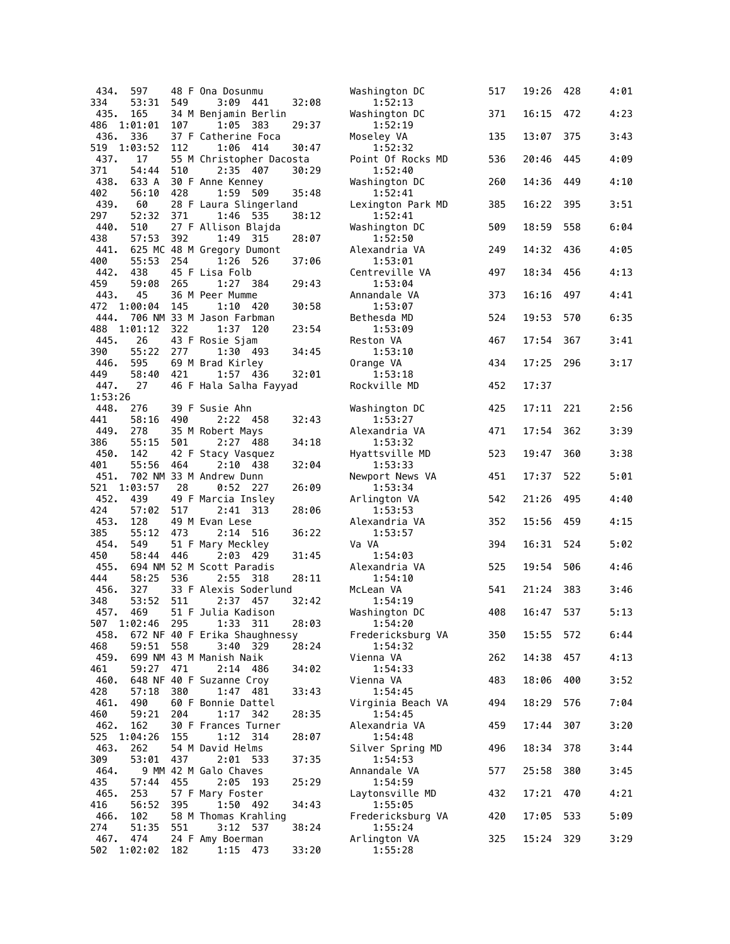| 434.            | 597                |     | 48 F Ona Dosunmu                         |       | Washington DC                | 517 | 19:26 | 428 | 4:01 |
|-----------------|--------------------|-----|------------------------------------------|-------|------------------------------|-----|-------|-----|------|
| 334             | 53:31              | 549 | 3:09<br>441                              | 32:08 | 1:52:13                      |     |       |     |      |
| 435.<br>486     | 165<br>1:01:01     | 107 | 34 M Benjamin Berlin<br>1:05<br>-383     | 29:37 | Washington DC<br>1:52:19     | 371 | 16:15 | 472 | 4:23 |
| 436.            | 336                |     | 37 F Catherine Foca                      |       | Moseley VA                   | 135 | 13:07 | 375 | 3:43 |
| 519             | 1:03:52            | 112 | 1:06<br>414                              | 30:47 | 1:52:32                      |     |       |     |      |
| 437.            | 17                 |     | 55 M Christopher Dacosta                 |       | Point Of Rocks MD            | 536 | 20:46 | 445 | 4:09 |
| 371             | 54:44              | 510 | 2:35 407                                 | 30:29 | 1:52:40                      |     |       |     |      |
| 438.            | 633 A              |     | 30 F Anne Kenney                         |       | Washington DC                | 260 | 14:36 | 449 | 4:10 |
| 402<br>439.     | 56:10<br>60        | 428 | 1:59<br>509<br>28 F Laura Slingerland    | 35:48 | 1:52:41<br>Lexington Park MD | 385 | 16:22 | 395 | 3:51 |
| 297             | 52:32              | 371 | 1:46<br>535                              | 38:12 | 1:52:41                      |     |       |     |      |
| 440.            | 510                |     | 27 F Allison Blajda                      |       | Washington DC                | 509 | 18:59 | 558 | 6:04 |
| 438             | 57:53              | 392 | 1:49<br>315                              | 28:07 | 1:52:50                      |     |       |     |      |
| 441.            |                    |     | 625 MC 48 M Gregory Dumont               |       | Alexandria VA                | 249 | 14:32 | 436 | 4:05 |
| 400<br>442.     | 55:53<br>438       | 254 | 1:26<br>526<br>45 F Lisa Folb            | 37:06 | 1:53:01<br>Centreville VA    | 497 | 18:34 | 456 | 4:13 |
| 459             | 59:08              | 265 | 1:27<br>384                              | 29:43 | 1:53:04                      |     |       |     |      |
| 443.            | 45                 |     | 36 M Peer Mumme                          |       | Annandale VA                 | 373 | 16:16 | 497 | 4:41 |
| 472             | 1:00:04            | 145 | 1:10<br>420                              | 30:58 | 1:53:07                      |     |       |     |      |
| 444.            |                    |     | 706 NM 33 M Jason Farbman                |       | Bethesda MD                  | 524 | 19:53 | 570 | 6:35 |
| 488<br>445.     | 1:01:12<br>26      | 322 | 1:37<br>120                              | 23:54 | 1:53:09                      | 467 | 17:54 | 367 | 3:41 |
| 390             | 55:22              | 277 | 43 F Rosie Sjam<br>1:30 493              | 34:45 | Reston VA<br>1:53:10         |     |       |     |      |
| 446.            | 595                |     | 69 M Brad Kirley                         |       | Orange VA                    | 434 | 17:25 | 296 | 3:17 |
| 449             | 58:40              | 421 | 1:57 436                                 | 32:01 | 1:53:18                      |     |       |     |      |
| 447.            | 27                 |     | 46 F Hala Salha Fayyad                   |       | Rockville MD                 | 452 | 17:37 |     |      |
| 1:53:26<br>448. |                    |     |                                          |       |                              |     | 17:11 |     | 2:56 |
| 441             | 276<br>58:16       | 490 | 39 F Susie Ahn<br>2:22 458               | 32:43 | Washington DC<br>1:53:27     | 425 |       | 221 |      |
| 449.            | 278                |     | 35 M Robert Mays                         |       | Alexandria VA                | 471 | 17:54 | 362 | 3:39 |
| 386             | 55:15              | 501 | 2:27 488                                 | 34:18 | 1:53:32                      |     |       |     |      |
| 450.            | 142                |     | 42 F Stacy Vasquez                       |       | Hyattsville MD               | 523 | 19:47 | 360 | 3:38 |
| 401<br>451.     | 55:56              | 464 | 2:10<br>- 438<br>702 NM 33 M Andrew Dunn | 32:04 | 1:53:33<br>Newport News VA   | 451 | 17:37 | 522 | 5:01 |
| 521             | 1:03:57            | 28  | $0:52$ 227                               | 26:09 | 1:53:34                      |     |       |     |      |
| 452.            | 439                |     | 49 F Marcia Insley                       |       | Arlington VA                 | 542 | 21:26 | 495 | 4:40 |
| 424             | 57:02              | 517 | 2:41 313                                 | 28:06 | 1:53:53                      |     |       |     |      |
| 453.<br>385     | 128<br>55:12       | 473 | 49 M Evan Lese<br>2:14 516               | 36:22 | Alexandria VA<br>1:53:57     | 352 | 15:56 | 459 | 4:15 |
| 454.            | 549                |     | 51 F Mary Meckley                        |       | Va VA                        | 394 | 16:31 | 524 | 5:02 |
| 450             | 58:44              | 446 | 2:03 429                                 | 31:45 | 1:54:03                      |     |       |     |      |
| 455.            |                    |     |                                          |       |                              |     |       |     |      |
| 444             |                    |     | 694 NM 52 M Scott Paradis                |       | Alexandria VA                | 525 | 19:54 | 506 | 4:46 |
|                 | 58:25              | 536 | 2:55<br>318                              | 28:11 | 1:54:10                      |     |       |     |      |
| 456.            | 327                |     | 33 F Alexis Soderlund                    |       | McLean VA                    | 541 | 21:24 | 383 | 3:46 |
| 348             | 53:52              | 511 | 2:37 457                                 | 32:42 | 1:54:19                      |     |       |     |      |
| 457.<br>507     | 469<br>1:02:46 295 |     | 51 F Julia Kadison<br>1:33 311           | 28:03 | Washington DC<br>1:54:20     | 408 | 16:47 | 537 | 5:13 |
| 458.            |                    |     | 672 NF 40 F Erika Shaughnessy            |       | Fredericksburg VA            | 350 | 15:55 | 572 | 6:44 |
| 468             | 59:51              | 558 | 3:40 329                                 | 28:24 | 1:54:32                      |     |       |     |      |
| 459.            |                    |     | 699 NM 43 M Manish Naik                  |       | Vienna VA                    | 262 | 14:38 | 457 | 4:13 |
| 461<br>460.     | 59:27              | 471 | 2:14 486                                 | 34:02 | 1:54:33<br>Vienna VA         | 483 | 18:06 | 400 |      |
| 428             | 57:18              | 380 | 648 NF 40 F Suzanne Croy<br>1:47 481     | 33:43 | 1:54:45                      |     |       |     | 3:52 |
| 461.            | 490                |     | 60 F Bonnie Dattel                       |       | Virginia Beach VA            | 494 | 18:29 | 576 | 7:04 |
| 460             | 59:21              | 204 | 1:17<br>342                              | 28:35 | 1:54:45                      |     |       |     |      |
| 462.            | 162                |     | 30 F Frances Turner                      |       | Alexandria VA                | 459 | 17:44 | 307 | 3:20 |
| 525<br>463.     | 1:04:26<br>262     | 155 | 1:12<br>-314<br>54 M David Helms         | 28:07 | 1:54:48<br>Silver Spring MD  | 496 | 18:34 | 378 | 3:44 |
| 309             | 53:01              | 437 | 2:01 533                                 | 37:35 | 1:54:53                      |     |       |     |      |
| 464.            |                    |     | 9 MM 42 M Galo Chaves                    |       | Annandale VA                 | 577 | 25:58 | 380 | 3:45 |
| 435             | 57:44              | 455 | 2:05<br>193                              | 25:29 | 1:54:59                      |     |       |     |      |
| 465.<br>416     | 253<br>56:52       | 395 | 57 F Mary Foster<br>1:50 492             | 34:43 | Laytonsville MD<br>1:55:05   | 432 | 17:21 | 470 | 4:21 |
| 466.            | 102                |     | 58 M Thomas Krahling                     |       | Fredericksburg VA            | 420 | 17:05 | 533 | 5:09 |
| 274             | 51:35              | 551 | 3:12<br>537                              | 38:24 | 1:55:24                      |     |       |     |      |
| 467.<br>502     | 474<br>1:02:02     | 182 | 24 F Amy Boerman<br>1:15<br>473          | 33:20 | Arlington VA<br>1:55:28      | 325 | 15:24 | 329 | 3:29 |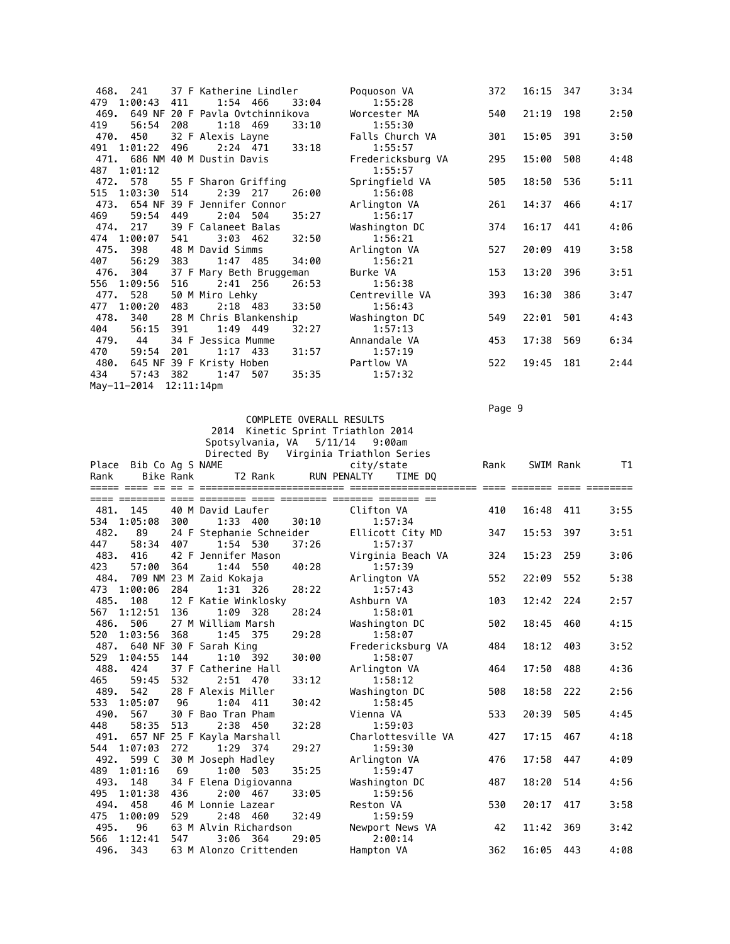| 468.<br>241            |     | 37 F Katherine Lindler          |       | Poquoson VA       | 372 | 16:15 | 347 | 3:34 |
|------------------------|-----|---------------------------------|-------|-------------------|-----|-------|-----|------|
| 479 1:00:43            | 411 | 1:54 466                        | 33:04 | 1:55:28           |     |       |     |      |
| 469.                   |     | 649 NF 20 F Pavla Ovtchinnikova |       | Worcester MA      | 540 | 21:19 | 198 | 2:50 |
| 419<br>56:54           | 208 | 1:18 469                        | 33:10 | 1:55:30           |     |       |     |      |
| 470.<br>450            |     | 32 F Alexis Layne               |       | Falls Church VA   | 301 | 15:05 | 391 | 3:50 |
| 491 1:01:22            | 496 | 2:24 471                        | 33:18 | 1:55:57           |     |       |     |      |
| 471.                   |     | 686 NM 40 M Dustin Davis        |       | Fredericksburg VA | 295 | 15:00 | 508 | 4:48 |
| 487 1:01:12            |     |                                 |       | 1:55:57           |     |       |     |      |
| 578<br>472.            |     | 55 F Sharon Griffing            |       | Springfield VA    | 505 | 18:50 | 536 | 5:11 |
| 515 1:03:30            | 514 | 2:39 217                        | 26:00 | 1:56:08           |     |       |     |      |
| 473.                   |     | 654 NF 39 F Jennifer Connor     |       | Arlington VA      | 261 | 14:37 | 466 | 4:17 |
| 469<br>59:54           | 449 | 2:04<br>504                     | 35:27 | 1:56:17           |     |       |     |      |
| 474.<br>217            |     | 39 F Calaneet Balas             |       | Washington DC     | 374 | 16:17 | 441 | 4:06 |
| 474 1:00:07            | 541 | $3:03$ 462                      | 32:50 | 1:56:21           |     |       |     |      |
| 475.<br>398            |     | 48 M David Simms                |       | Arlington VA      | 527 | 20:09 | 419 | 3:58 |
| 56:29<br>407           | 383 | 1:47 485                        | 34:00 | 1:56:21           |     |       |     |      |
| 476.<br>304            |     | 37 F Mary Beth Bruggeman        |       | Burke VA          | 153 | 13:20 | 396 | 3:51 |
| 1:09:56<br>556         | 516 | $2:41$ 256                      | 26:53 | 1:56:38           |     |       |     |      |
| 528<br>477.            |     | 50 M Miro Lehky                 |       | Centreville VA    | 393 | 16:30 | 386 | 3:47 |
| 1:00:20<br>477         | 483 | $2:18$ 483                      | 33:50 | 1:56:43           |     |       |     |      |
| 478.<br>340            |     | 28 M Chris Blankenship          |       | Washington DC     | 549 | 22:01 | 501 | 4:43 |
| 56:15<br>404           | 391 | 1:49 449                        | 32:27 | 1:57:13           |     |       |     |      |
| 479.<br>44             |     | 34 F Jessica Mumme              |       | Annandale VA      | 453 | 17:38 | 569 | 6:34 |
| 59:54<br>470           | 201 | $1:17$ 433                      | 31:57 | 1:57:19           |     |       |     |      |
| 480.                   |     | 645 NF 39 F Kristy Hoben        |       | Partlow VA        | 522 | 19:45 | 181 | 2:44 |
| 434<br>57:43           | 382 | 1:47<br>507                     | 35:35 | 1:57:32           |     |       |     |      |
| May-11-2014 12:11:14pm |     |                                 |       |                   |     |       |     |      |

 COMPLETE OVERALL RESULTS 2014 Kinetic Sprint Triathlon 2014

Page 9 - Page 9 - Page 9 - Page 9 - Page 9 - Page 9 - Page 9 - Page 9 - Page 9 - Page 9 - Page 9

|                               |                  | Spotsylvania, VA                  |       | $5/11/14$ 9:00am                      |      |           |     |      |
|-------------------------------|------------------|-----------------------------------|-------|---------------------------------------|------|-----------|-----|------|
|                               |                  |                                   |       | Directed By Virginia Triathlon Series |      |           |     |      |
| Place Bib Co Ag S NAME        |                  |                                   |       | city/state                            | Rank | SWIM Rank |     | T1   |
| Rank                          | <b>Bike Rank</b> | T2 Rank                           |       | RUN PENALTY<br>TIME DO                |      |           |     |      |
|                               |                  |                                   |       |                                       |      |           |     |      |
| 481. 145                      |                  | 40 M David Laufer                 |       | Clifton VA                            | 410  | 16:48     | 411 | 3:55 |
| 1:05:08<br>534                | 300              | $1:33$ 400                        | 30:10 | 1:57:34                               |      |           |     |      |
| 482.<br>89                    |                  | 24 F Stephanie Schneider          |       | Ellicott City MD                      | 347  | 15:53     | 397 | 3:51 |
| 447<br>58:34                  | 407              | 1:54 530                          | 37:26 | 1:57:37                               |      |           |     |      |
| 483.<br>416                   |                  | 42 F Jennifer Mason               |       | Virginia Beach VA                     | 324  | 15:23     | 259 | 3:06 |
| 423<br>57:00                  | 364              | 1:44<br>550                       | 40:28 | 1:57:39                               |      |           |     |      |
| 484.                          |                  | 709 NM 23 M Zaid Kokaja           |       | Arlington VA                          | 552  | 22:09     | 552 | 5:38 |
| 473<br>1:00:06                | 284              | 1:31 326                          | 28:22 | 1:57:43                               |      |           |     |      |
| 485.<br>108                   |                  | 12 F Katie Winklosky              |       | Ashburn VA                            | 103  | 12:42     | 224 | 2:57 |
| 567<br>1:12:51                | 136              | 1:09<br>328                       | 28:24 | 1:58:01                               |      |           |     |      |
| 486.<br>506                   |                  | 27 M William Marsh                |       | Washington DC                         | 502  | 18:45     | 460 | 4:15 |
| 1:03:56<br>520                | 368              | 1:45<br>375                       | 29:28 | 1:58:07                               |      |           |     |      |
| 487. 640 NF 30 F Sarah King   |                  |                                   |       | Fredericksburg VA                     | 484  | 18:12     | 403 | 3:52 |
| 529<br>1:04:55                | 144              | $1:10$ 392                        | 30:00 | 1:58:07                               |      |           |     |      |
| 488.<br>424                   |                  | 37 F Catherine Hall               |       | Arlington VA                          | 464  | 17:50     | 488 | 4:36 |
| 465<br>59:45                  | 532              | 2:51 470                          | 33:12 | 1:58:12                               |      |           |     |      |
| 489.<br>542                   |                  | 28 F Alexis Miller                |       | Washington DC                         | 508  | 18:58     | 222 | 2:56 |
| 533<br>1:05:07<br>490.<br>567 | 96               | 1:04 411                          | 30:42 | 1:58:45                               | 533  | 20:39     | 505 | 4:45 |
| 448<br>58:35                  | 513              | 30 F Bao Tran Pham<br>2:38<br>450 | 32:28 | Vienna VA<br>1:59:03                  |      |           |     |      |
| 491.                          |                  | 657 NF 25 F Kayla Marshall        |       | Charlottesville VA                    | 427  | 17:15     | 467 | 4:18 |
| 1:07:03<br>544                | 272              | 1:29 374                          | 29:27 | 1:59:30                               |      |           |     |      |
| 599 C<br>492.                 |                  | 30 M Joseph Hadley                |       | Arlington VA                          | 476  | 17:58     | 447 | 4:09 |
| 1:01:16<br>489                | 69               | 1:00 503                          | 35:25 | 1:59:47                               |      |           |     |      |
| 493. 148                      |                  | 34 F Elena Digiovanna             |       | Washington DC                         | 487  | 18:20     | 514 | 4:56 |
| 1:01:38<br>495                | 436              | 2:00 467                          | 33:05 | 1:59:56                               |      |           |     |      |
| 494. 458                      |                  | 46 M Lonnie Lazear                |       | Reston VA                             | 530  | 20:17     | 417 | 3:58 |
| 1:00:09<br>475                | 529              | 2:48 460                          | 32:49 | 1:59:59                               |      |           |     |      |
| 495.<br>96                    |                  | 63 M Alvin Richardson             |       | Newport News VA                       | 42   | 11:42     | 369 | 3:42 |
| 566<br>1:12:41                | 547              | 3:06 364                          | 29:05 | 2:00:14                               |      |           |     |      |
| 496. 343                      |                  | 63 M Alonzo Crittenden            |       | Hampton VA                            | 362  | 16:05     | 443 | 4:08 |
|                               |                  |                                   |       |                                       |      |           |     |      |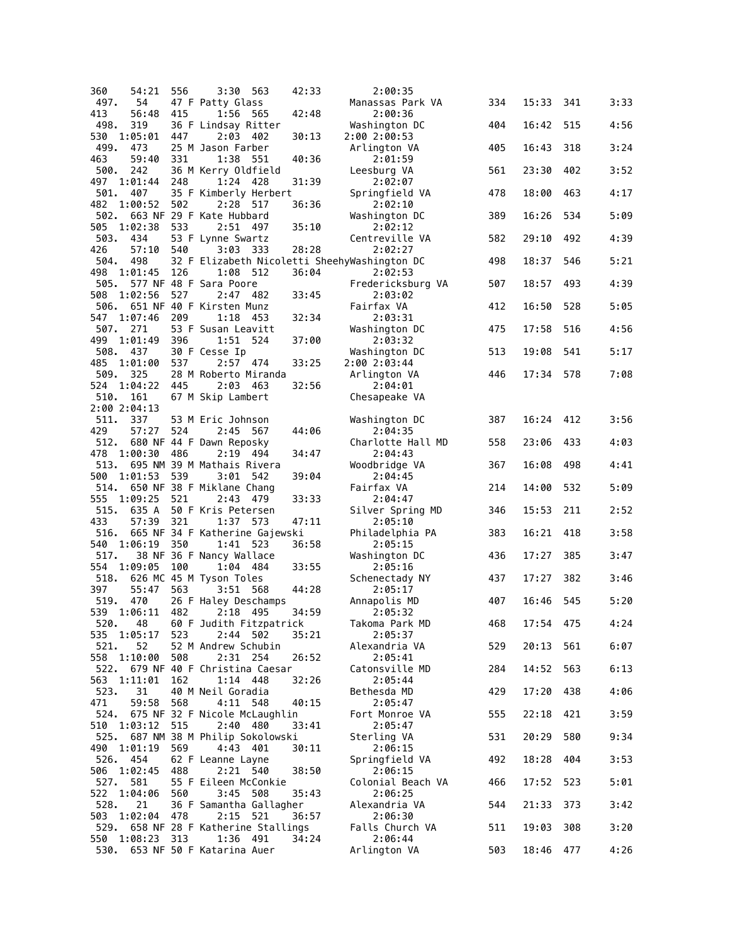| 360         | 54:21               | 556  | 3:30<br>563                                 | 42:33 | 2:00:35                                      |     |       |     |      |
|-------------|---------------------|------|---------------------------------------------|-------|----------------------------------------------|-----|-------|-----|------|
| 497.        | 54                  |      | 47 F Patty Glass                            |       | Manassas Park VA                             | 334 | 15:33 | 341 | 3:33 |
| 413         | 56:48               | 415  | 1:56<br>565                                 | 42:48 | 2:00:36                                      |     |       |     |      |
| 498.<br>530 | 319<br>1:05:01      | 447  | 36 F Lindsay Ritter<br>2:03<br>402          | 30:13 | Washington DC<br>2:00 2:00:53                | 404 | 16:42 | 515 | 4:56 |
| 499.        | 473                 |      | 25 M Jason Farber                           |       | Arlington VA                                 | 405 | 16:43 | 318 | 3:24 |
| 463         | 59:40               | 331  | 1:38 551                                    | 40:36 | 2:01:59                                      |     |       |     |      |
| 500.<br>497 | 242<br>1:01:44      | 248  | 36 M Kerry Oldfield<br>1:24<br>428          | 31:39 | Leesburg VA<br>2:02:07                       | 561 | 23:30 | 402 | 3:52 |
| 501.        | 407                 |      | 35 F Kimberly Herbert                       |       | Springfield VA                               | 478 | 18:00 | 463 | 4:17 |
| 482         | 1:00:52             | 502  | 2:28<br>517                                 | 36:36 | 2:02:10                                      |     |       |     |      |
| 502.        |                     |      | 663 NF 29 F Kate Hubbard                    |       | Washington DC                                | 389 | 16:26 | 534 | 5:09 |
| 505<br>503. | 1:02:38<br>434      | 533  | 2:51 497<br>53 F Lynne Swartz               | 35:10 | 2:02:12<br>Centreville VA                    | 582 | 29:10 | 492 | 4:39 |
| 426         | 57:10               | 540  | 3:03 333                                    | 28:28 | 2:02:27                                      |     |       |     |      |
| 504.        | 498                 |      |                                             |       | 32 F Elizabeth Nicoletti SheehyWashington DC | 498 | 18:37 | 546 | 5:21 |
| 498         | 1:01:45             | 126  | 1:08 512                                    | 36:04 | 2:02:53                                      |     |       |     |      |
| 505.<br>508 | 1:02:56             | 527  | 577 NF 48 F Sara Poore<br>2:47 482          | 33:45 | Fredericksburg VA<br>2:03:02                 | 507 | 18:57 | 493 | 4:39 |
|             |                     |      | 506. 651 NF 40 F Kirsten Munz               |       | Fairfax VA                                   | 412 | 16:50 | 528 | 5:05 |
| 547         | 1:07:46             | 209  | 1:18<br>- 453                               | 32:34 | 2:03:31                                      |     |       |     |      |
| 507.        | 271                 |      | 53 F Susan Leavitt                          |       | Washington DC                                | 475 | 17:58 | 516 | 4:56 |
| 499<br>508. | 1:01:49<br>437      | 396  | 1:51<br>524<br>30 F Cesse Ip                | 37:00 | 2:03:32<br>Washington DC                     | 513 | 19:08 | 541 | 5:17 |
| 485         | 1:01:00             | 537  | 2:57 474                                    | 33:25 | 2:00 2:03:44                                 |     |       |     |      |
| 509.        | 325                 |      | 28 M Roberto Miranda                        |       | Arlington VA                                 | 446 | 17:34 | 578 | 7:08 |
| 524         | 1:04:22             | 445  | 2:03 463                                    | 32:56 | 2:04:01                                      |     |       |     |      |
| 510.        | 161<br>2:00 2:04:13 |      | 67 M Skip Lambert                           |       | Chesapeake VA                                |     |       |     |      |
| 511.        | 337                 |      | 53 M Eric Johnson                           |       | Washington DC                                | 387 | 16:24 | 412 | 3:56 |
| 429         | 57:27               | 524  | 2:45 567                                    | 44:06 | 2:04:35                                      |     |       |     |      |
| 512.        |                     |      | 680 NF 44 F Dawn Reposky                    |       | Charlotte Hall MD                            | 558 | 23:06 | 433 | 4:03 |
| 478<br>513. | 1:00:30             | 486  | 2:19 494<br>695 NM 39 M Mathais Rivera      | 34:47 | 2:04:43<br>Woodbridge VA                     | 367 | 16:08 | 498 | 4:41 |
| 500         | 1:01:53             | 539  | $3:01$ 542                                  | 39:04 | 2:04:45                                      |     |       |     |      |
| 514.        |                     |      | 650 NF 38 F Miklane Chang                   |       | Fairfax VA                                   | 214 | 14:00 | 532 | 5:09 |
| 555<br>515. | 1:09:25<br>635 A    | -521 | 2:43 479<br>50 F Kris Petersen              | 33:33 | 2:04:47<br>Silver Spring MD                  | 346 | 15:53 | 211 | 2:52 |
| 433         | 57:39               | 321  | 1:37<br>573                                 | 47:11 | 2:05:10                                      |     |       |     |      |
| 516.        |                     |      | 665 NF 34 F Katherine Gajewski              |       | Philadelphia PA                              | 383 | 16:21 | 418 | 3:58 |
| 540         | 1:06:19 350         |      | 1:41 523                                    | 36:58 | 2:05:15                                      |     |       |     |      |
| 517.<br>554 | 1:09:05             | 100  | 38 NF 36 F Nancy Wallace<br>1:04 484        | 33:55 | Washington DC<br>2:05:16                     | 436 | 17:27 | 385 | 3:47 |
| 518.        |                     |      | 626 MC 45 M Tyson Toles                     |       | Schenectady NY                               | 437 | 17:27 | 382 | 3:46 |
| 397         | 55:47               | 563  | 3:51<br>568                                 | 44:28 | 2:05:17                                      |     |       |     |      |
| 519.        | 470                 |      | 26 F Haley Deschamps                        |       | Annapolis MD                                 | 407 | 16:46 | 545 | 5:20 |
| 539         | 1:06:11             | 482  | 2:18 495<br>520. 48 60 F Judith Fitzpatrick | 34:59 | 2:05:32<br>Takoma Park MD                    | 468 | 17:54 | 475 | 4:24 |
|             | 535 1:05:17         | 523  | 2:44 502                                    | 35:21 | 2:05:37                                      |     |       |     |      |
| 521.        | 52                  |      | 52 M Andrew Schubin                         |       | Alexandria VA                                | 529 | 20:13 | 561 | 6:07 |
| 558<br>522. | 1:10:00             | 508  | 2:31 254                                    | 26:52 | 2:05:41                                      | 284 |       | 563 |      |
|             | 563 1:11:01         | 162  | 679 NF 40 F Christina Caesar<br>1:14 448    | 32:26 | Catonsville MD<br>2:05:44                    |     | 14:52 |     | 6:13 |
| 523.        | 31                  |      | 40 M Neil Goradia                           |       | Bethesda MD                                  | 429 | 17:20 | 438 | 4:06 |
| 471         | 59:58               | 568  | 4:11 548                                    | 40:15 | 2:05:47                                      |     |       |     |      |
| 524.<br>510 | 1:03:12             | 515  | 675 NF 32 F Nicole McLaughlin<br>2:40 480   | 33:41 | Fort Monroe VA<br>2:05:47                    | 555 | 22:18 | 421 | 3:59 |
|             |                     |      | 525. 687 NM 38 M Philip Sokolowski          |       | Sterling VA                                  | 531 | 20:29 | 580 | 9:34 |
| 490         | 1:01:19             | 569  | 4:43 401                                    | 30:11 | 2:06:15                                      |     |       |     |      |
| 526.        | 454                 |      | 62 F Leanne Layne                           |       | Springfield VA                               | 492 | 18:28 | 404 | 3:53 |
| 506<br>527. | 1:02:45<br>581      | 488  | 2:21 540<br>55 F Eileen McConkie            | 38:50 | 2:06:15<br>Colonial Beach VA                 | 466 | 17:52 | 523 | 5:01 |
| 522         | 1:04:06             | 560  | 3:45<br>508                                 | 35:43 | 2:06:25                                      |     |       |     |      |
| 528.        | 21                  |      | 36 F Samantha Gallagher                     |       | Alexandria VA                                | 544 | 21:33 | 373 | 3:42 |
| 503         | 1:02:04             | 478  | 2:15 521                                    | 36:57 | 2:06:30                                      |     |       |     |      |
| 529.<br>550 | 1:08:23 313         |      | 658 NF 28 F Katherine Stallings<br>1:36 491 | 34:24 | Falls Church VA<br>2:06:44                   | 511 | 19:03 | 308 | 3:20 |
| 530.        |                     |      | 653 NF 50 F Katarina Auer                   |       | Arlington VA                                 | 503 | 18:46 | 477 | 4:26 |
|             |                     |      |                                             |       |                                              |     |       |     |      |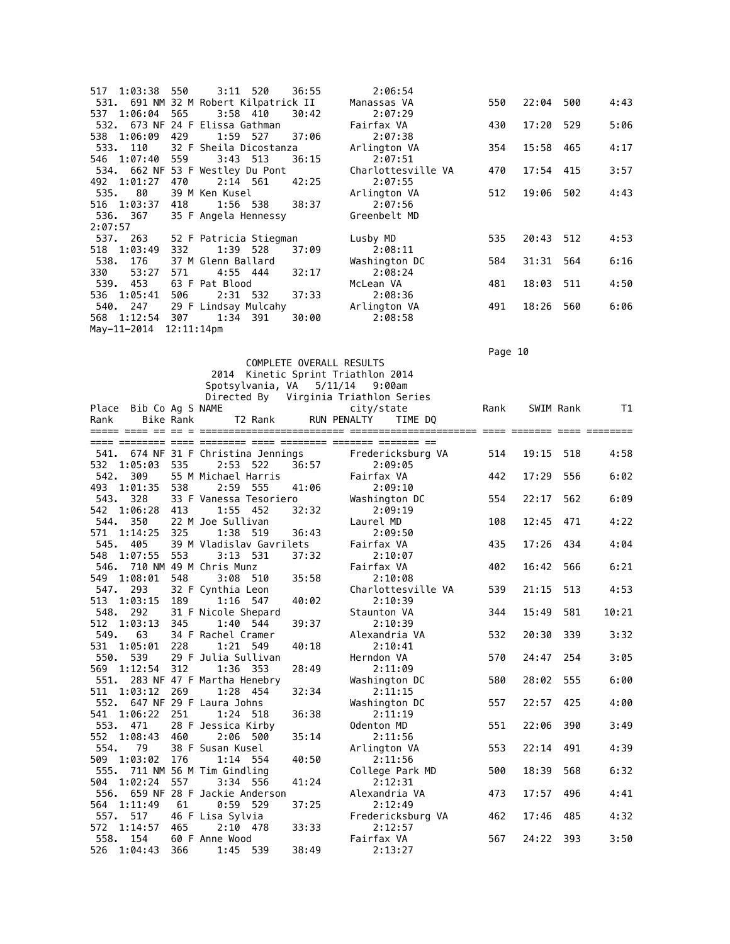| 1:03:38 550<br>517                    |     | $3:11$ 520             |     | 36:55 | 2:06:54            |     |           |     |      |
|---------------------------------------|-----|------------------------|-----|-------|--------------------|-----|-----------|-----|------|
| 531. 691 NM 32 M Robert Kilpatrick II |     |                        |     |       | Manassas VA        | 550 | 22:04     | 500 | 4:43 |
| 537 1:06:04 565                       |     | $3:58$ 410             |     | 30:42 | 2:07:29            |     |           |     |      |
| 532. 673 NF 24 F Elissa Gathman       |     |                        |     |       | Fairfax VA         | 430 | 17:20 529 |     | 5:06 |
| 538 1:06:09                           | 429 | 1:59 527               |     | 37:06 | 2:07:38            |     |           |     |      |
| 533. 110                              |     | 32 F Sheila Dicostanza |     |       | Arlington VA       | 354 | 15:58     | 465 | 4:17 |
| 546 1:07:40                           | 559 | $3:43$ 513             |     | 36:15 | 2:07:51            |     |           |     |      |
| 534. 662 NF 53 F Westley Du Pont      |     |                        |     |       | Charlottesville VA | 470 | 17:54     | 415 | 3:57 |
| 492 1:01:27                           | 470 | 2:14 561               |     | 42:25 | 2:07:55            |     |           |     |      |
| 535.<br>80                            |     | 39 M Ken Kusel         |     |       | Arlington VA       | 512 | 19:06     | 502 | 4:43 |
| 516 1:03:37                           | 418 | 1:56 538               |     | 38:37 | 2:07:56            |     |           |     |      |
|                                       |     |                        |     |       |                    |     |           |     |      |
| 536. 367                              |     | 35 F Angela Hennessy   |     |       | Greenbelt MD       |     |           |     |      |
| 2:07:57                               |     |                        |     |       |                    |     |           |     |      |
| 537. 263                              |     | 52 F Patricia Stiegman |     |       | Lusby MD           | 535 | 20:43 512 |     | 4:53 |
| 518 1:03:49                           | 332 | 1:39                   | 528 | 37:09 | 2:08:11            |     |           |     |      |
| 538.<br>176                           |     | 37 M Glenn Ballard     |     |       | Washington DC      | 584 | 31:31     | 564 | 6:16 |
| 330<br>53:27                          | 571 | 4:55 444               |     | 32:17 | 2:08:24            |     |           |     |      |
| 453<br>539.                           |     | 63 F Pat Blood         |     |       | McLean VA          | 481 | 18:03     | 511 | 4:50 |
| 536 1:05:41                           | 506 | 2:31 532               |     | 37:33 | 2:08:36            |     |           |     |      |
| 540, 247                              |     | 29 F Lindsay Mulcahy   |     |       | Arlington VA       | 491 | 18:26     | 560 | 6:06 |
| 568 1:12:54<br>May-11-2014            | 307 | 1:34 391               |     | 30:00 | 2:08:58            |     |           |     |      |

Page 10

 COMPLETE OVERALL RESULTS 2014 Kinetic Sprint Triathlon 2014 Spotsylvania, VA 5/11/14 9:00am

|      |                                     |                  | Directed By                 |          |       | Virginia Triathlon Series |                    |      |       |           |       |
|------|-------------------------------------|------------------|-----------------------------|----------|-------|---------------------------|--------------------|------|-------|-----------|-------|
|      | Place Bib Co Ag S NAME              |                  |                             |          |       | city/state                |                    | Rank |       | SWIM Rank | T1    |
| Rank |                                     | <b>Bike Rank</b> |                             | T2 Rank  |       | <b>RUN PENALTY</b>        | TIME DO            |      |       |           |       |
|      |                                     |                  |                             |          |       |                           |                    |      |       |           |       |
|      |                                     |                  |                             |          |       |                           |                    |      |       |           |       |
|      | 541. 674 NF 31 F Christina Jennings |                  |                             |          |       |                           | Fredericksburg VA  | 514  | 19:15 | 518       | 4:58  |
| 532  | 1:05:03                             | 535              | 2:53                        | 522      | 36:57 |                           | 2:09:05            |      |       |           |       |
| 542. | 309                                 |                  | 55 M Michael Harris         |          |       | Fairfax VA                |                    | 442  | 17:29 | 556       | 6:02  |
| 493  | 1:01:35                             | 538              | 2:59                        | 555      | 41:06 |                           | 2:09:10            |      |       |           |       |
| 543. | 328                                 |                  | 33 F Vanessa Tesoriero      |          |       | Washington DC             |                    | 554  | 22:17 | 562       | 6:09  |
| 542  | 1:06:28                             | 413              | 1:55                        | 452      | 32:32 |                           | 2:09:19            |      |       |           |       |
| 544. | 350                                 |                  | 22 M Joe Sullivan           |          |       | Laurel MD                 |                    | 108  | 12:45 | 471       | 4:22  |
| 571  | 1:14:25                             | 325              | 1:38                        | 519      | 36:43 |                           | 2:09:50            |      |       |           |       |
| 545. | 405                                 |                  | 39 M Vladislav Gavrilets    |          |       | Fairfax VA                |                    | 435  | 17:26 | 434       | 4:04  |
| 548  | 1:07:55                             | 553              | 3:13                        | 531      | 37:32 |                           | 2:10:07            |      |       |           |       |
|      | 546. 710 NM 49 M Chris Munz         |                  |                             |          |       | Fairfax VA                |                    | 402  | 16:42 | 566       | 6:21  |
| 549  | 1:08:01                             | 548              | 3:08                        | 510      | 35:58 |                           | 2:10:08            |      |       |           |       |
| 547. | 293                                 |                  | 32 F Cynthia Leon           |          |       |                           | Charlottesville VA | 539  | 21:15 | 513       | 4:53  |
| 513  | 1:03:15                             | 189              | 1:16                        | 547      | 40:02 |                           | 2:10:39            |      |       |           |       |
| 548. | 292                                 |                  | 31 F Nicole Shepard         |          |       | Staunton VA               |                    | 344  | 15:49 | 581       | 10:21 |
| 512  | 1:03:13                             | 345              | 1:40                        | 544      | 39:37 |                           | 2:10:39            |      |       |           |       |
| 549. | 63                                  |                  | 34 F Rachel Cramer          |          |       | Alexandria VA             |                    | 532  | 20:30 | 339       | 3:32  |
| 531  | 1:05:01                             | 228              | 1:21                        | 549      | 40:18 |                           | 2:10:41            |      |       |           |       |
| 550. | 539                                 |                  | 29 F Julia Sullivan         |          |       | Herndon VA                |                    | 570  | 24:47 | 254       | 3:05  |
| 569  | 1:12:54                             | 312              |                             | 1:36 353 | 28:49 |                           | 2:11:09            |      |       |           |       |
| 551. |                                     |                  | 283 NF 47 F Martha Henebry  |          |       | Washington DC             |                    | 580  | 28:02 | 555       | 6:00  |
| 511  | 1:03:12                             | 269              |                             | 1:28 454 | 32:34 |                           | 2:11:15            |      |       |           |       |
|      | 552. 647 NF 29 F Laura Johns        |                  |                             |          |       | Washington DC             |                    | 557  | 22:57 | 425       | 4:00  |
| 541  | 1:06:22                             | 251              | 1:24                        | 518      | 36:38 |                           | 2:11:19            |      |       |           |       |
| 553. | 471                                 |                  | 28 F Jessica Kirby          |          |       | Odenton MD                |                    | 551  | 22:06 | 390       | 3:49  |
| 552  | 1:08:43                             | 460              | 2:06                        | 500      | 35:14 |                           | 2:11:56            |      |       |           |       |
| 554. | 79                                  |                  | 38 F Susan Kusel            |          |       | Arlington VA              |                    | 553  | 22:14 | 491       | 4:39  |
| 509  | 1:03:02                             | 176              | 1:14                        | 554      | 40:50 |                           | 2:11:56            |      |       |           |       |
|      | 555. 711 NM 56 M Tim Gindling       |                  |                             |          |       |                           | College Park MD    | 500  | 18:39 | 568       | 6:32  |
| 504  | 1:02:24                             | 557              | 3:34                        | 556      | 41:24 |                           | 2:12:31            |      |       |           |       |
| 556. |                                     |                  | 659 NF 28 F Jackie Anderson |          |       | Alexandria VA             |                    | 473  | 17:57 | 496       | 4:41  |
| 564  | 1:11:49                             | 61               | 0:59                        | 529      | 37:25 |                           | 2:12:49            |      |       |           |       |
| 557. | 517                                 |                  | 46 F Lisa Sylvia            |          |       |                           | Fredericksburg VA  | 462  | 17:46 | 485       | 4:32  |
| 572  | 1:14:57                             | 465              | 2:10                        | 478      | 33:33 |                           | 2:12:57            |      |       |           |       |
| 558. | 154                                 |                  | 60 F Anne Wood              |          |       | Fairfax VA                |                    | 567  | 24:22 | 393       | 3:50  |
| 526  | 1:04:43                             | 366              | 1:45                        | 539      | 38:49 |                           | 2:13:27            |      |       |           |       |
|      |                                     |                  |                             |          |       |                           |                    |      |       |           |       |